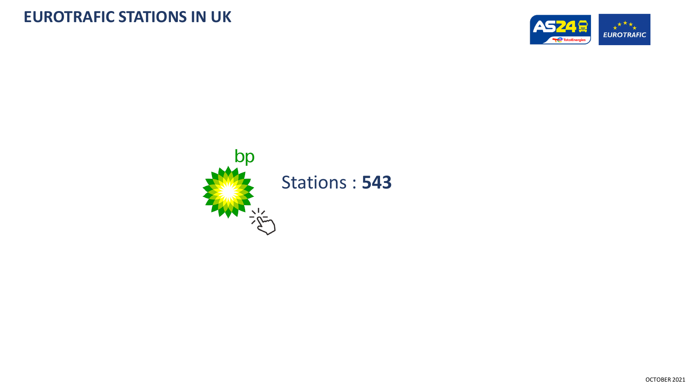

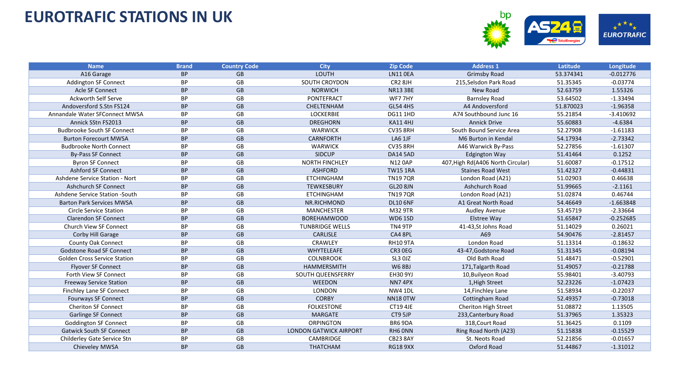

| <b>Name</b>                         | <b>Brand</b> | <b>Country Code</b> | <b>City</b>                   | <b>Zip Code</b>     | <b>Address 1</b>                  | Latitude  | Longitude   |
|-------------------------------------|--------------|---------------------|-------------------------------|---------------------|-----------------------------------|-----------|-------------|
| A16 Garage                          | <b>BP</b>    | <b>GB</b>           | LOUTH                         | <b>LN11 OEA</b>     | <b>Grimsby Road</b>               | 53.374341 | $-0.012776$ |
| <b>Addington SF Connect</b>         | <b>BP</b>    | GB                  | SOUTH CROYDON                 | CR <sub>2</sub> 8JH | 215, Selsdon Park Road            | 51.35345  | $-0.03774$  |
| Acle SF Connect                     | <b>BP</b>    | GB                  | <b>NORWICH</b>                | <b>NR13 3BE</b>     | New Road                          | 52.63759  | 1.55326     |
| <b>Ackworth Self Serve</b>          | <b>BP</b>    | GB                  | <b>PONTEFRACT</b>             | WF77HY              | <b>Barnsley Road</b>              | 53.64502  | $-1.33494$  |
| Andoversford S.Stn FS124            | <b>BP</b>    | <b>GB</b>           | CHELTENHAM                    | <b>GL54 4HS</b>     | A4 Andoversford                   | 51.870023 | $-1.96358$  |
| Annandale Water SFConnect MWSA      | <b>BP</b>    | GB                  | <b>LOCKERBIE</b>              | <b>DG11 1HD</b>     | A74 Southbound Junc 16            | 55.21854  | $-3.410692$ |
| Annick SStn FS2013                  | <b>BP</b>    | <b>GB</b>           | <b>DREGHORN</b>               | <b>KA11 4HJ</b>     | <b>Annick Drive</b>               | 55.60883  | $-4.6384$   |
| <b>Budbrooke South SF Connect</b>   | <b>BP</b>    | GB                  | <b>WARWICK</b>                | <b>CV35 8RH</b>     | South Bound Service Area          | 52.27908  | $-1.61183$  |
| <b>Burton Forecourt MWSA</b>        | <b>BP</b>    | GB                  | CARNFORTH                     | LA6 1JF             | M6 Burton in Kendal               | 54.17934  | $-2.73342$  |
| <b>Budbrooke North Connect</b>      | <b>BP</b>    | GB                  | <b>WARWICK</b>                | <b>CV35 8RH</b>     | A46 Warwick By-Pass               | 52.27856  | $-1.61307$  |
| <b>By-Pass SF Connect</b>           | <b>BP</b>    | GB                  | <b>SIDCUP</b>                 | <b>DA14 5AD</b>     | <b>Edgington Way</b>              | 51.41464  | 0.1252      |
| <b>Byron SF Connect</b>             | BP           | GB                  | <b>NORTH FINCHLEY</b>         | <b>N12 0AP</b>      | 407, High Rd(A406 North Circular) | 51.60087  | $-0.17512$  |
| <b>Ashford SF Connect</b>           | <b>BP</b>    | GB                  | <b>ASHFORD</b>                | <b>TW15 1RA</b>     | <b>Staines Road West</b>          | 51.42327  | $-0.44831$  |
| Ashdene Service Station - Nort      | BP           | GB                  | <b>ETCHINGHAM</b>             | <b>TN197QR</b>      | London Road (A21)                 | 51.02903  | 0.46638     |
| <b>Ashchurch SF Connect</b>         | <b>BP</b>    | GB                  | <b>TEWKESBURY</b>             | <b>GL20 8JN</b>     | Ashchurch Road                    | 51.99665  | $-2.1161$   |
| Ashdene Service Station - South     | <b>BP</b>    | GB                  | <b>ETCHINGHAM</b>             | <b>TN197QR</b>      | London Road (A21)                 | 51.02874  | 0.46744     |
| <b>Barton Park Services MWSA</b>    | <b>BP</b>    | <b>GB</b>           | NR.RICHMOND                   | <b>DL10 6NF</b>     | A1 Great North Road               | 54.46649  | $-1.663848$ |
| <b>Circle Service Station</b>       | BP           | GB                  | <b>MANCHESTER</b>             | M32 9TR             | <b>Audley Avenue</b>              | 53.45719  | $-2.33664$  |
| <b>Clarendon SF Connect</b>         | <b>BP</b>    | GB                  | <b>BOREHAMWOOD</b>            | <b>WD6 1SD</b>      | Elstree Way                       | 51.65847  | $-0.252685$ |
| Church View SF Connect              | BP           | GB                  | <b>TUNBRIDGE WELLS</b>        | TN4 9TP             | 41-43, St Johns Road              | 51.14029  | 0.26021     |
| Corby Hill Garage                   | <b>BP</b>    | GB                  | <b>CARLISLE</b>               | CA4 8PL             | A69                               | 54.90476  | $-2.81457$  |
| County Oak Connect                  | BP           | GB                  | CRAWLEY                       | <b>RH10 9TA</b>     | London Road                       | 51.13314  | $-0.18632$  |
| <b>Godstone Road SF Connect</b>     | <b>BP</b>    | <b>GB</b>           | WHYTELEAFE                    | CR3 OEG             | 43-47, Godstone Road              | 51.31345  | $-0.08194$  |
| <b>Golden Cross Service Station</b> | BP           | GB                  | <b>COLNBROOK</b>              | SL3 OJZ             | Old Bath Road                     | 51.48471  | $-0.52901$  |
| <b>Flyover SF Connect</b>           | <b>BP</b>    | GB                  | HAMMERSMITH                   | <b>W68BJ</b>        | 171, Talgarth Road                | 51.49057  | $-0.21788$  |
| Forth View SF Connect               | <b>BP</b>    | GB                  | SOUTH QUEENSFERRY             | <b>EH30 9YJ</b>     | 10, Builyeon Road                 | 55.98401  | $-3.40793$  |
| <b>Freeway Service Station</b>      | <b>BP</b>    | GB                  | <b>WEEDON</b>                 | NN74PX              | 1, High Street                    | 52.23226  | $-1.07423$  |
| <b>Finchley Lane SF Connect</b>     | <b>BP</b>    | <b>GB</b>           | <b>LONDON</b>                 | <b>NW4 1DL</b>      | 14, Finchley Lane                 | 51.58934  | $-0.22037$  |
| Fourways SF Connect                 | <b>BP</b>    | GB                  | <b>CORBY</b>                  | <b>NN18 0TW</b>     | Cottingham Road                   | 52.49357  | $-0.73018$  |
| <b>Cheriton SF Connect</b>          | <b>BP</b>    | GB                  | <b>FOLKESTONE</b>             | <b>CT19 4JE</b>     | Cheriton High Street              | 51.08872  | 1.13505     |
| Garlinge SF Connect                 | <b>BP</b>    | GB                  | <b>MARGATE</b>                | CT9 5JP             | 233, Canterbury Road              | 51.37965  | 1.35323     |
| <b>Goddington SF Connect</b>        | <b>BP</b>    | GB                  | <b>ORPINGTON</b>              | BR6 9DA             | 318, Court Road                   | 51.36425  | 0.1109      |
| <b>Gatwick South SF Connect</b>     | <b>BP</b>    | <b>GB</b>           | <b>LONDON GATWICK AIRPORT</b> | RH6 ONN             | Ring Road North (A23)             | 51.15838  | $-0.15529$  |
| Childerley Gate Service Stn         | <b>BP</b>    | GB                  | CAMBRIDGE                     | <b>CB23 8AY</b>     | St. Neots Road                    | 52.21856  | $-0.01657$  |
| Chieveley MWSA                      | <b>BP</b>    | <b>GB</b>           | <b>THATCHAM</b>               | <b>RG18 9XX</b>     | Oxford Road                       | 51.44867  | $-1.31012$  |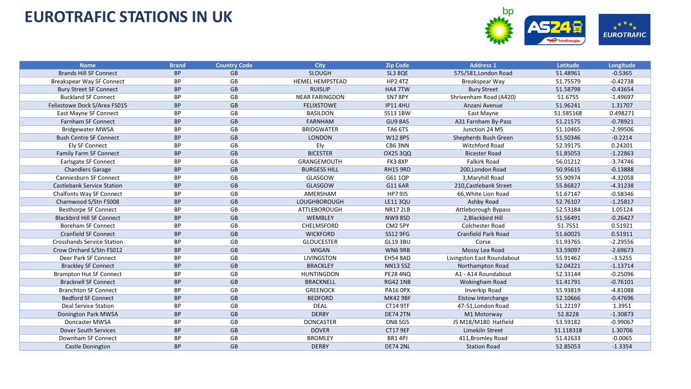

| <b>Name</b>                       | <b>Brand</b> | <b>Country Code</b> | <b>City</b>            | <b>Zip Code</b> | <b>Address 1</b>           | Latitude  | Longitude  |
|-----------------------------------|--------------|---------------------|------------------------|-----------------|----------------------------|-----------|------------|
| <b>Brands Hill SF Connect</b>     | <b>BP</b>    | GB                  | <b>SLOUGH</b>          | SL3 8QE         | 575/581, London Road       | 51.48961  | $-0.5365$  |
| Breakspear Way SF Connect         | <b>BP</b>    | GB                  | <b>HEMEL HEMPSTEAD</b> | HP2 4TZ         | Breakspear Way             | 51.75579  | $-0.42738$ |
| <b>Bury Street SF Connect</b>     | <b>BP</b>    | GB                  | <b>RUISLIP</b>         | HA4 7TW         | <b>Bury Street</b>         | 51.58798  | $-0.43654$ |
| <b>Buckland SF Connect</b>        | BP           | GB                  | <b>NEAR FARINGDON</b>  | SN78PY          | Shrivenham Road (A420)     | 51.6755   | $-1.49697$ |
| Felixstowe Dock S/Area FS015      | <b>BP</b>    | <b>GB</b>           | <b>FELIXSTOWE</b>      | <b>IP114HU</b>  | Anzani Avenue              | 51.96241  | 1.31707    |
| East Mayne SF Connect             | <b>BP</b>    | GB                  | <b>BASILDON</b>        | SS13 1BW        | East Mayne                 | 51.585168 | 0.498271   |
| <b>Farnham SF Connect</b>         | <b>BP</b>    | GB                  | FARNHAM                | GU9 8AS         | A31 Farnham By-Pass        | 51.21575  | $-0.78921$ |
| <b>Bridgewater MWSA</b>           | <b>BP</b>    | GB                  | <b>BRIDGWATER</b>      | TA6 6TS         | Junction 24 M5             | 51.10465  | $-2.99506$ |
| <b>Bush Centre SF Connect</b>     | <b>BP</b>    | GB                  | LONDON                 | W12 8PS         | Shepherds Bush Green       | 51.50346  | $-0.2214$  |
| <b>Ely SF Connect</b>             | BP           | GB                  | Ely                    | CB63NN          | <b>Witchford Road</b>      | 52.39175  | 0.24201    |
| Family Farm SF Connect            | <b>BP</b>    | GB                  | <b>BICESTER</b>        | OX25 3QQ        | <b>Bicester Road</b>       | 51.85053  | $-1.22863$ |
| Earlsgate SF Connect              | ΒP           | GB                  | GRANGEMOUTH            | FK3 8XP         | <b>Falkirk Road</b>        | 56.01212  | $-3.74746$ |
| <b>Chandlers Garage</b>           | <b>BP</b>    | <b>GB</b>           | <b>BURGESS HILL</b>    | RH15 9RD        | 200, London Road           | 50.95615  | $-0.13888$ |
| <b>Canniesburn SF Connect</b>     | <b>BP</b>    | GB                  | GLASGOW                | G61 1QP         | 3, Maryhill Road           | 55.90974  | $-4.32058$ |
| <b>Castlebank Service Station</b> | <b>BP</b>    | GB                  | GLASGOW                | G11 6AR         | 210, Castlebank Street     | 55.86827  | $-4.31238$ |
| <b>Chalfonts Way SF Connect</b>   | <b>BP</b>    | GB                  | AMERSHAM               | <b>HP7 9JS</b>  | 66, White Lion Road        | 51.67147  | $-0.58346$ |
| Charnwood S/Stn FS008             | <b>BP</b>    | GB                  | <b>LOUGHBOROUGH</b>    | <b>LE113QU</b>  | Ashby Road                 | 52.76107  | $-1.25817$ |
| <b>Besthorpe SF Connect</b>       | <b>BP</b>    | GB                  | ATTLEBOROUGH           | <b>NR17 2LB</b> | Attleborough Bypass        | 52.53184  | 1.05124    |
| <b>Blackbird Hill SF Connect</b>  | <b>BP</b>    | GB                  | WEMBLEY                | <b>NW98SD</b>   | 2, Blackbird Hill          | 51.56491  | $-0.26427$ |
| <b>Boreham SF Connect</b>         | BP           | GB                  | CHELMSFORD             | CM2 5PY         | <b>Colchester Road</b>     | 51.7551   | 0.51921    |
| <b>Cranfield SF Connect</b>       | <b>BP</b>    | GB                  | <b>WICKFORD</b>        | <b>SS12 9FG</b> | <b>Cranfield Park Road</b> | 51.60025  | 0.51911    |
| <b>Crosshands Service Station</b> | BP           | GB                  | <b>GLOUCESTER</b>      | <b>GL193BU</b>  | Corse                      | 51.93765  | $-2.29556$ |
| Crow Orchard S/Stn FS012          | <b>BP</b>    | GB                  | <b>WIGAN</b>           | WN69RB          | Mossy Lea Road             | 53.59097  | $-2.69673$ |
| Deer Park SF Connect              | <b>BP</b>    | GB                  | <b>LIVINGSTON</b>      | <b>EH54 8AD</b> | Livingston East Roundabout | 55.91462  | $-3.5255$  |
| <b>Brackley SF Connect</b>        | BP           | GB                  | <b>BRACKLEY</b>        | <b>NN135SZ</b>  | Northampton Road           | 52.04221  | $-1.13714$ |
| <b>Brampton Hut SF Connect</b>    | <b>BP</b>    | GB                  | <b>HUNTINGDON</b>      | <b>PE28 4NQ</b> | A1 - A14 Roundabout        | 52.33144  | $-0.25096$ |
| <b>Bracknell SF Connect</b>       | <b>BP</b>    | GB                  | <b>BRACKNELL</b>       | <b>RG42 1NB</b> | Wokingham Road             | 51.41791  | $-0.76101$ |
| <b>Branchton SF Connect</b>       | BP           | GB                  | <b>GREENOCK</b>        | <b>PA16 OPX</b> | Inverkip Road              | 55.93819  | $-4.81088$ |
| <b>Bedford SF Connect</b>         | <b>BP</b>    | GB                  | <b>BEDFORD</b>         | <b>MK42 9BF</b> | <b>Elstow Interchange</b>  | 52.10666  | $-0.47696$ |
| <b>Deal Service Station</b>       | ВP           | GB                  | <b>DEAL</b>            | <b>CT14 9TF</b> | 47-51, London Road         | 51.22197  | 1.3951     |
| Donington Park MWSA               | <b>BP</b>    | GB                  | <b>DERBY</b>           | <b>DE74 2TN</b> | M1 Motorway                | 52.8228   | $-1.30873$ |
| Doncaster MWSA                    | ВP           | GB                  | <b>DONCASTER</b>       | <b>DN8 5GS</b>  | J5 M18/M180 Hatfield       | 53.59182  | $-0.99067$ |
| Dover South Services              | <b>BP</b>    | <b>GB</b>           | <b>DOVER</b>           | <b>CT17 9EF</b> | Limekiln Street            | 51.118318 | 1.30706    |
| Downham SF Connect                | <b>BP</b>    | GB                  | <b>BROMLEY</b>         | BR1 4PJ         | 411, Bromley Road          | 51.42633  | $-0.0065$  |
| Castle Donington                  | <b>BP</b>    | GB                  | <b>DERBY</b>           | <b>DE74 2NL</b> | <b>Station Road</b>        | 52.85053  | $-1.3354$  |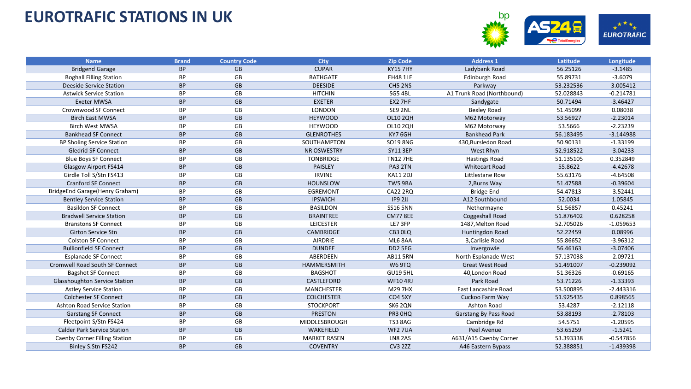

| <b>Name</b>                        | <b>Brand</b> | <b>Country Code</b> | <b>City</b>         | <b>Zip Code</b> | <b>Address 1</b>           | Latitude  | Longitude   |
|------------------------------------|--------------|---------------------|---------------------|-----------------|----------------------------|-----------|-------------|
| <b>Bridgend Garage</b>             | <b>BP</b>    | <b>GB</b>           | <b>CUPAR</b>        | <b>KY15 7HY</b> | Ladybank Road              | 56.25126  | $-3.1485$   |
| <b>Boghall Filling Station</b>     | <b>BP</b>    | GB                  | <b>BATHGATE</b>     | <b>EH48 1LE</b> | Edinburgh Road             | 55.89731  | $-3.6079$   |
| Deeside Service Station            | <b>BP</b>    | GB                  | <b>DEESIDE</b>      | CH5 2NS         | Parkway                    | 53.232536 | $-3.005412$ |
| <b>Astwick Service Station</b>     | <b>BP</b>    | GB                  | <b>HITCHIN</b>      | SG5 4BL         | A1 Trunk Road (Northbound) | 52.028843 | $-0.214781$ |
| <b>Exeter MWSA</b>                 | <b>BP</b>    | <b>GB</b>           | <b>EXETER</b>       | EX2 7HF         | Sandygate                  | 50.71494  | $-3.46427$  |
| <b>Crownwood SF Connect</b>        | <b>BP</b>    | GB                  | LONDON              | SE9 2NL         | <b>Bexley Road</b>         | 51.45099  | 0.08038     |
| <b>Birch East MWSA</b>             | <b>BP</b>    | GB                  | <b>HEYWOOD</b>      | OL10 2QH        | M62 Motorway               | 53.56927  | $-2.23014$  |
| <b>Birch West MWSA</b>             | BP           | GB                  | <b>HEYWOOD</b>      | OL10 2QH        | M62 Motorway               | 53.5666   | $-2.23239$  |
| <b>Bankhead SF Connect</b>         | <b>BP</b>    | GB                  | <b>GLENROTHES</b>   | KY7 6GH         | <b>Bankhead Park</b>       | 56.183495 | $-3.144988$ |
| BP Sholing Service Station         | <b>BP</b>    | GB                  | SOUTHAMPTON         | SO19 8NG        | 430, Bursledon Road        | 50.90131  | $-1.33199$  |
| <b>Gledrid SF Connect</b>          | <b>BP</b>    | GB                  | <b>NR OSWESTRY</b>  | <b>SY11 3EP</b> | West Rhyn                  | 52.918522 | $-3.04233$  |
| <b>Blue Boys SF Connect</b>        | <b>BP</b>    | GB                  | <b>TONBRIDGE</b>    | <b>TN12 7HE</b> | <b>Hastings Road</b>       | 51.135105 | 0.352849    |
| Glasgow Airport FS414              | <b>BP</b>    | GB                  | <b>PAISLEY</b>      | PA3 2TN         | <b>Whitecart Road</b>      | 55.8622   | $-4.42678$  |
| Girdle Toll S/Stn FS413            | <b>BP</b>    | GB                  | <b>IRVINE</b>       | <b>KA11 2DJ</b> | Littlestane Row            | 55.63176  | $-4.64508$  |
| <b>Cranford SF Connect</b>         | <b>BP</b>    | <b>GB</b>           | <b>HOUNSLOW</b>     | TW59BA          | 2, Burns Way               | 51.47588  | $-0.39604$  |
| BridgeEnd Garage(Henry Graham)     | ВP           | GB                  | <b>EGREMONT</b>     | <b>CA22 2RQ</b> | <b>Bridge End</b>          | 54.47813  | $-3.52441$  |
| <b>Bentley Service Station</b>     | <b>BP</b>    | GB                  | <b>IPSWICH</b>      | IP9 2JJ         | A12 Southbound             | 52.0034   | 1.05845     |
| <b>Basildon SF Connect</b>         | <b>BP</b>    | GB                  | <b>BASILDON</b>     | <b>SS16 5NN</b> | Nethermayne                | 51.56857  | 0.45241     |
| <b>Bradwell Service Station</b>    | <b>BP</b>    | GB                  | <b>BRAINTREE</b>    | <b>CM77 8EE</b> | Coggeshall Road            | 51.876402 | 0.628258    |
| <b>Branstons SF Connect</b>        | <b>BP</b>    | GB                  | <b>LEICESTER</b>    | LE7 3FP         | 1487, Melton Road          | 52.705026 | $-1.059653$ |
| <b>Girton Service Stn</b>          | <b>BP</b>    | GB                  | <b>CAMBRIDGE</b>    | CB3 OLQ         | Huntingdon Road            | 52.22459  | 0.08996     |
| <b>Colston SF Connect</b>          | BP           | GB                  | AIRDRIE             | ML6 8AA         | 3, Carlisle Road           | 55.86652  | $-3.96312$  |
| <b>Bullionfield SF Connect</b>     | <b>BP</b>    | GB                  | <b>DUNDEE</b>       | DD2 5EG         | Invergowie                 | 56.46163  | $-3.07406$  |
| <b>Esplanade SF Connect</b>        | <b>BP</b>    | GB                  | ABERDEEN            | <b>AB11 5RN</b> | North Esplanade West       | 57.137038 | $-2.09721$  |
| Cromwell Road South SF Connect     | <b>BP</b>    | <b>GB</b>           | HAMMERSMITH         | W6 9TQ          | <b>Great West Road</b>     | 51.491007 | $-0.239092$ |
| <b>Bagshot SF Connect</b>          | <b>BP</b>    | GB                  | <b>BAGSHOT</b>      | <b>GU19 5HL</b> | 40, London Road            | 51.36326  | $-0.69165$  |
| Glasshoughton Service Station      | <b>BP</b>    | GB                  | CASTLEFORD          | <b>WF104RJ</b>  | Park Road                  | 53.71226  | $-1.33393$  |
| <b>Astley Service Station</b>      | <b>BP</b>    | GB                  | <b>MANCHESTER</b>   | M29 7HX         | East Lancashire Road       | 53.500895 | $-2.443316$ |
| <b>Colchester SF Connect</b>       | <b>BP</b>    | GB                  | <b>COLCHESTER</b>   | <b>CO4 5XY</b>  | Cuckoo Farm Way            | 51.925435 | 0.898565    |
| <b>Ashton Road Service Station</b> | ВP           | GB                  | <b>STOCKPORT</b>    | SK6 2QN         | Ashton Road                | 53.4287   | $-2.12118$  |
| <b>Garstang SF Connect</b>         | <b>BP</b>    | GB                  | <b>PRESTON</b>      | PR3 OHQ         | Garstang By Pass Road      | 53.88193  | $-2.78103$  |
| Fleetpoint S/Stn FS424             | <b>BP</b>    | GB                  | MIDDLESBROUGH       | <b>TS3 8AG</b>  | Cambridge Rd               | 54.5751   | $-1.20595$  |
| <b>Calder Park Service Station</b> | <b>BP</b>    | GB                  | <b>WAKEFIELD</b>    | WF2 7UA         | Peel Avenue                | 53.65259  | $-1.5241$   |
| Caenby Corner Filling Station      | BP           | GB                  | <b>MARKET RASEN</b> | LN8 2AS         | A631/A15 Caenby Corner     | 53.393338 | $-0.547856$ |
| Binley S.Stn FS242                 | <b>BP</b>    | <b>GB</b>           | <b>COVENTRY</b>     | <b>CV3 2ZZ</b>  | A46 Eastern Bypass         | 52.388851 | $-1.439398$ |
|                                    |              |                     |                     |                 |                            |           |             |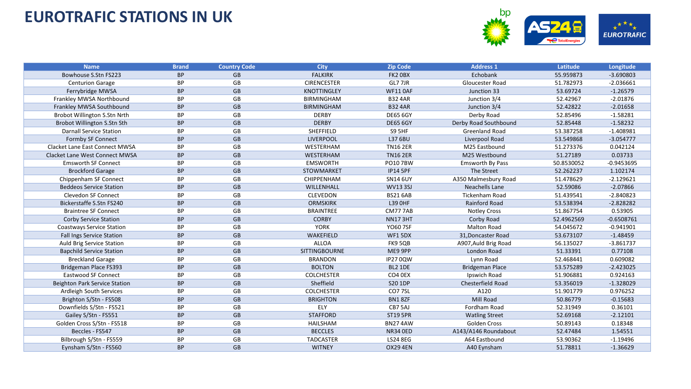

| <b>Name</b>                           | <b>Brand</b> | <b>Country Code</b> | <b>City</b>          | <b>Zip Code</b> | <b>Address 1</b>       | Latitude   | Longitude    |
|---------------------------------------|--------------|---------------------|----------------------|-----------------|------------------------|------------|--------------|
| Bowhouse S.Stn FS223                  | <b>BP</b>    | <b>GB</b>           | <b>FALKIRK</b>       | FK2 OBX         | Echobank               | 55.959873  | $-3.690803$  |
| <b>Centurion Garage</b>               | BP           | GB                  | <b>CIRENCESTER</b>   | GL7 7JR         | Gloucester Road        | 51.782973  | $-2.036661$  |
| Ferrybridge MWSA                      | <b>BP</b>    | GB                  | <b>KNOTTINGLEY</b>   | <b>WF11 0AF</b> | Junction 33            | 53.69724   | $-1.26579$   |
| Frankley MWSA Northbound              | <b>BP</b>    | GB                  | <b>BIRMINGHAM</b>    | <b>B324AR</b>   | Junction 3/4           | 52.42967   | $-2.01876$   |
| Frankley MWSA Southbound              | <b>BP</b>    | GB                  | <b>BIRMINGHAM</b>    | <b>B32 4AR</b>  | Junction 3/4           | 52.42822   | $-2.01658$   |
| Brobot Willington S.Stn Nrth          | <b>BP</b>    | GB                  | <b>DERBY</b>         | <b>DE65 6GY</b> | Derby Road             | 52.85496   | $-1.58281$   |
| Brobot Willington S.Stn Sth           | <b>BP</b>    | GB                  | <b>DERBY</b>         | <b>DE65 6GY</b> | Derby Road Southbound  | 52.85448   | $-1.58232$   |
| <b>Darnall Service Station</b>        | ВP           | GB                  | <b>SHEFFIELD</b>     | <b>S9 5HF</b>   | Greenland Road         | 53.387258  | $-1.408981$  |
| Formby SF Connect                     | <b>BP</b>    | GB                  | <b>LIVERPOOL</b>     | L37 6BU         | Liverpool Road         | 53.549868  | $-3.054777$  |
| <b>Clacket Lane East Connect MWSA</b> | <b>BP</b>    | GB                  | WESTERHAM            | <b>TN16 2ER</b> | M25 Eastbound          | 51.273376  | 0.042124     |
| Clacket Lane West Connect MWSA        | <b>BP</b>    | GB                  | WESTERHAM            | <b>TN16 2ER</b> | M25 Westbound          | 51.27189   | 0.03733      |
| <b>Emsworth SF Connect</b>            | ВP           | GB                  | <b>EMSWORTH</b>      | <b>PO107BW</b>  | Emsworth By Pass       | 50.8530052 | $-0.9453695$ |
| <b>Brockford Garage</b>               | <b>BP</b>    | GB                  | STOWMARKET           | <b>IP14 5PF</b> | The Street             | 52.262237  | 1.102174     |
| Chippenham SF Connect                 | <b>BP</b>    | GB                  | CHIPPENHAM           | <b>SN14 6UY</b> | A350 Malmesbury Road   | 51.478629  | $-2.129621$  |
| <b>Beddeos Service Station</b>        | <b>BP</b>    | GB                  | WILLENHALL           | <b>WV133SJ</b>  | Neachells Lane         | 52.59086   | $-2.07866$   |
| <b>Clevedon SF Connect</b>            | <b>BP</b>    | GB                  | <b>CLEVEDON</b>      | <b>BS21 6AB</b> | <b>Tickenham Road</b>  | 51.439541  | $-2.840823$  |
| Bickerstaffe S.Stn FS240              | <b>BP</b>    | GB                  | <b>ORMSKIRK</b>      | L39 0HF         | Rainford Road          | 53.538394  | $-2.828282$  |
| <b>Braintree SF Connect</b>           | ВP           | GB                  | <b>BRAINTREE</b>     | CM777AB         | <b>Notley Cross</b>    | 51.867754  | 0.53905      |
| <b>Corby Service Station</b>          | <b>BP</b>    | GB                  | <b>CORBY</b>         | <b>NN173HT</b>  | Corby Road             | 52.4962569 | $-0.6508761$ |
| <b>Coastways Service Station</b>      | <b>BP</b>    | GB                  | <b>YORK</b>          | <b>YO60 7SF</b> | <b>Malton Road</b>     | 54.045672  | $-0.941901$  |
| Fall Ings Service Station             | <b>BP</b>    | <b>GB</b>           | WAKEFIELD            | WF1 5DX         | 31, Doncaster Road     | 53.673107  | $-1.48459$   |
| Auld Brig Service Station             | <b>BP</b>    | GB                  | <b>ALLOA</b>         | FK9 5QB         | A907, Auld Brig Road   | 56.135027  | $-3.861737$  |
| <b>Bapchild Service Station</b>       | <b>BP</b>    | GB                  | <b>SITTINGBOURNE</b> | ME9 9PP         | London Road            | 51.33391   | 0.77108      |
| <b>Breckland Garage</b>               | <b>BP</b>    | GB                  | <b>BRANDON</b>       | <b>IP270QW</b>  | Lynn Road              | 52.468441  | 0.609082     |
| Bridgeman Place FS393                 | <b>BP</b>    | GB                  | <b>BOLTON</b>        | <b>BL2 1DE</b>  | <b>Bridgeman Place</b> | 53.575289  | $-2.423025$  |
| <b>Eastwood SF Connect</b>            | BP           | GB                  | <b>COLCHESTER</b>    | CO4 0EX         | Ipswich Road           | 51.906881  | 0.924163     |
| Beighton Park Service Station         | <b>BP</b>    | GB                  | Sheffield            | S20 1DP         | Chesterfield Road      | 53.356019  | $-1.328029$  |
| Ardleigh South Services               | ВP           | GB                  | <b>COLCHESTER</b>    | CO77SL          | A120                   | 51.901779  | 0.976252     |
| Brighton S/Stn - FS508                | <b>BP</b>    | GB                  | <b>BRIGHTON</b>      | BN18ZF          | Mill Road              | 50.86779   | $-0.15683$   |
| Downfields S/Stn - FS521              | <b>BP</b>    | GB                  | ELY                  | CB7 5AJ         | Fordham Road           | 52.31949   | 0.36101      |
| Gailey S/Stn - FS551                  | <b>BP</b>    | GB                  | <b>STAFFORD</b>      | <b>ST19 5PR</b> | <b>Watling Street</b>  | 52.69168   | $-2.12101$   |
| Golden Cross S/Stn - FS518            | BP           | GB                  | <b>HAILSHAM</b>      | <b>BN274AW</b>  | <b>Golden Cross</b>    | 50.89143   | 0.18348      |
| Beccles - FS547                       | <b>BP</b>    | <b>GB</b>           | <b>BECCLES</b>       | <b>NR34 OED</b> | A143/A146 Roundabout   | 52.47484   | 1.54551      |
| Bilbrough S/Stn - FS559               | <b>BP</b>    | GB                  | <b>TADCASTER</b>     | <b>LS24 8EG</b> | A64 Eastbound          | 53.90362   | $-1.19496$   |
| Eynsham S/Stn - FS560                 | <b>BP</b>    | GB                  | <b>WITNEY</b>        | <b>OX29 4EN</b> | A40 Eynsham            | 51.78811   | $-1.36629$   |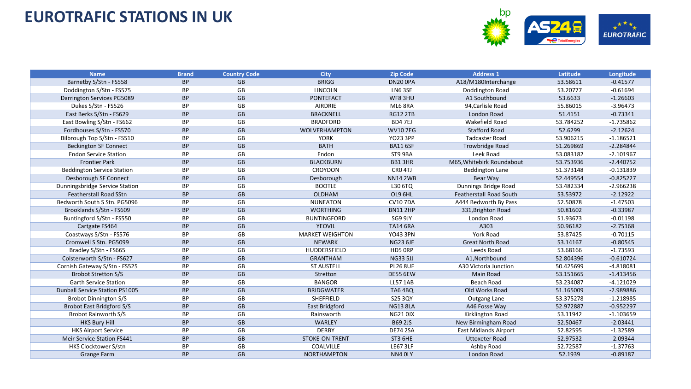

| <b>Name</b>                           | <b>Brand</b> | <b>Country Code</b> | <b>City</b>            | <b>Zip Code</b>    | <b>Address 1</b>               | Latitude  | Longitude   |
|---------------------------------------|--------------|---------------------|------------------------|--------------------|--------------------------------|-----------|-------------|
| Barnetby S/Stn - FS558                | <b>BP</b>    | <b>GB</b>           | <b>BRIGG</b>           | DN20 OPA           | A18/M180Interchange            | 53.58611  | $-0.41577$  |
| Doddington S/Stn - FS575              | <b>BP</b>    | GB                  | <b>LINCOLN</b>         | LN6 3SE            | Doddington Road                | 53.20777  | $-0.61694$  |
| Darrington Services PG5089            | <b>BP</b>    | GB                  | <b>PONTEFACT</b>       | WF83HU             | A1 Southbound                  | 53.6633   | $-1.26603$  |
| Dukes S/Stn - FS526                   | <b>BP</b>    | GB                  | <b>AIRDRIE</b>         | ML6 8RA            | 94, Carlisle Road              | 55.86015  | $-3.96473$  |
| East Berks S/Stn - FS629              | <b>BP</b>    | <b>GB</b>           | <b>BRACKNELL</b>       | <b>RG12 2TB</b>    | London Road                    | 51.4151   | $-0.73341$  |
| East Bowling S/Stn - FS662            | <b>BP</b>    | GB                  | <b>BRADFORD</b>        | BD47EJ             | Wakefield Road                 | 53.784252 | $-1.735862$ |
| Fordhouses S/Stn - FS570              | <b>BP</b>    | GB                  | <b>WOLVERHAMPTON</b>   | <b>WV107EG</b>     | <b>Stafford Road</b>           | 52.6299   | $-2.12624$  |
| Bilbrough Top S/Stn - FS510           | <b>BP</b>    | GB                  | <b>YORK</b>            | <b>YO23 3PP</b>    | <b>Tadcaster Road</b>          | 53.906215 | $-1.186521$ |
| <b>Beckington SF Connect</b>          | <b>BP</b>    | GB                  | <b>BATH</b>            | <b>BA11 6SF</b>    | Trowbridge Road                | 51.269869 | $-2.284844$ |
| <b>Endon Service Station</b>          | <b>BP</b>    | GB                  | Endon                  | ST9 9BA            | Leek Road                      | 53.083182 | $-2.101967$ |
| <b>Frontier Park</b>                  | <b>BP</b>    | GB                  | <b>BLACKBURN</b>       | BB13HR             | M65, Whitebirk Roundabout      | 53.753936 | $-2.440752$ |
| <b>Beddington Service Station</b>     | BP           | GB                  | <b>CROYDON</b>         | CRO <sub>4TJ</sub> | Beddington Lane                | 51.373148 | $-0.131839$ |
| Desborough SF Connect                 | <b>BP</b>    | GB                  | Desborough             | <b>NN14 2WB</b>    | Bear Way                       | 52.449554 | $-0.825227$ |
| Dunningsbridge Service Station        | <b>BP</b>    | GB                  | <b>BOOTLE</b>          | L30 6TQ            | Dunnings Bridge Road           | 53.482334 | $-2.966238$ |
| <b>Featherstall Road SStn</b>         | <b>BP</b>    | GB                  | <b>OLDHAM</b>          | OL9 6HL            | <b>Featherstall Road South</b> | 53.53972  | $-2.12922$  |
| Bedworth South S Stn. PG5096          | <b>BP</b>    | GB                  | <b>NUNEATON</b>        | <b>CV107DA</b>     | A444 Bedworth By Pass          | 52.50878  | $-1.47503$  |
| Brooklands S/Stn - FS609              | <b>BP</b>    | GB                  | <b>WORTHING</b>        | <b>BN112HP</b>     | 331, Brighton Road             | 50.81602  | $-0.33987$  |
| Buntingford S/Stn - FS550             | <b>BP</b>    | GB                  | <b>BUNTINGFORD</b>     | SG9 9JY            | London Road                    | 51.93673  | $-0.01198$  |
| Cartgate FS464                        | <b>BP</b>    | GB                  | <b>YEOVIL</b>          | <b>TA14 6RA</b>    | A303                           | 50.96182  | $-2.75168$  |
| Coastways S/Stn - FS576               | <b>BP</b>    | GB                  | <b>MARKET WEIGHTON</b> | <b>YO43 3PN</b>    | <b>York Road</b>               | 53.87425  | $-0.70115$  |
| Cromwell S Stn. PG5099                | <b>BP</b>    | GB                  | <b>NEWARK</b>          | <b>NG23 6JE</b>    | <b>Great North Road</b>        | 53.14167  | $-0.80545$  |
| Bradley S/Stn - FS665                 | <b>BP</b>    | GB                  | HUDDERSFIELD           | HD5 ORP            | Leeds Road                     | 53.68166  | $-1.73593$  |
| Colsterworth S/Stn - FS627            | <b>BP</b>    | GB                  | <b>GRANTHAM</b>        | <b>NG33 5JJ</b>    | A1, Northbound                 | 52.804396 | $-0.610724$ |
| Cornish Gateway S/Stn - FS525         | <b>BP</b>    | GB                  | <b>ST AUSTELL</b>      | <b>PL26 8UF</b>    | A30 Victoria Junction          | 50.425699 | $-4.818081$ |
| <b>Brobot Stretton S/S</b>            | <b>BP</b>    | GB                  | Stretton               | <b>DE55 6EW</b>    | Main Road                      | 53.151665 | $-1.413456$ |
| <b>Garth Service Station</b>          | <b>BP</b>    | GB                  | <b>BANGOR</b>          | <b>LL57 1AB</b>    | <b>Beach Road</b>              | 53.234087 | $-4.121029$ |
| <b>Dunball Service Station PS1005</b> | <b>BP</b>    | GB                  | <b>BRIDGWATER</b>      | <b>TA6 4BQ</b>     | Old Works Road                 | 51.165009 | $-2.989886$ |
| <b>Brobot Dinnington S/S</b>          | BP           | GB                  | SHEFFIELD              | S25 3QY            | Outgang Lane                   | 53.375278 | $-1.218985$ |
| <b>Brobot East Bridgford S/S</b>      | <b>BP</b>    | <b>GB</b>           | East Bridgford         | <b>NG13 8LA</b>    | A46 Fosse Way                  | 52.972887 | $-0.952297$ |
| Brobot Rainworth S/S                  | BP           | GB                  | Rainsworth             | <b>NG210JX</b>     | Kirklington Road               | 53.11942  | $-1.103659$ |
| <b>HKS Bury Hill</b>                  | <b>BP</b>    | <b>GB</b>           | WARLEY                 | <b>B69 2JS</b>     | New Birmingham Road            | 52.50467  | $-2.03441$  |
| <b>HKS Airport Service</b>            | <b>BP</b>    | GB                  | <b>DERBY</b>           | <b>DE74 2SA</b>    | <b>East Midlands Airport</b>   | 52.82595  | $-1.32589$  |
| Meir Service Station FS441            | <b>BP</b>    | GB                  | STOKE-ON-TRENT         | ST3 6HE            | <b>Uttoxeter Road</b>          | 52.97532  | $-2.09344$  |
| HKS Clocktower S/stn                  | <b>BP</b>    | GB                  | COALVILLE              | <b>LE67 3LF</b>    | Ashby Road                     | 52.72587  | $-1.37763$  |
| <b>Grange Farm</b>                    | <b>BP</b>    | <b>GB</b>           | <b>NORTHAMPTON</b>     | NN4 OLY            | London Road                    | 52.1939   | $-0.89187$  |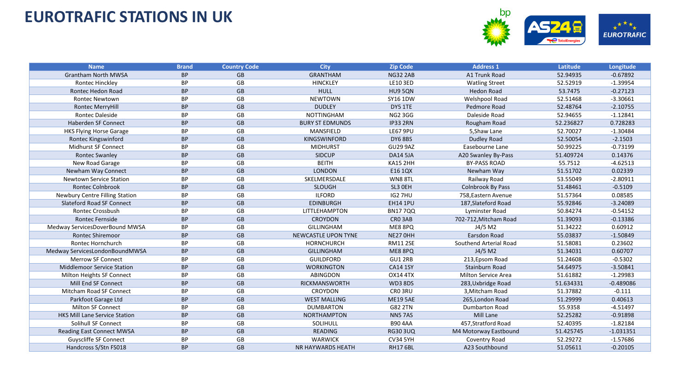

| <b>Name</b>                          | <b>Brand</b> | <b>Country Code</b> | <b>City</b>                | <b>Zip Code</b>     | <b>Address 1</b>           | Latitude  | Longitude   |
|--------------------------------------|--------------|---------------------|----------------------------|---------------------|----------------------------|-----------|-------------|
| <b>Grantham North MWSA</b>           | <b>BP</b>    | <b>GB</b>           | <b>GRANTHAM</b>            | <b>NG32 2AB</b>     | A1 Trunk Road              | 52.94935  | $-0.67892$  |
| Rontec Hinckley                      | <b>BP</b>    | GB                  | <b>HINCKLEY</b>            | LE10 3ED            | <b>Watling Street</b>      | 52.52919  | $-1.39954$  |
| Rontec Hedon Road                    | <b>BP</b>    | GB                  | <b>HULL</b>                | HU9 5QN             | <b>Hedon Road</b>          | 53.7475   | $-0.27123$  |
| <b>Rontec Newtown</b>                | <b>BP</b>    | GB                  | <b>NEWTOWN</b>             | SY16 1DW            | Welshpool Road             | 52.51468  | $-3.30661$  |
| <b>Rontec MerryHill</b>              | <b>BP</b>    | GB                  | <b>DUDLEY</b>              | DY5 1TE             | Pedmore Road               | 52.48764  | $-2.10755$  |
| <b>Rontec Daleside</b>               | <b>BP</b>    | GB                  | <b>NOTTINGHAM</b>          | <b>NG2 3GG</b>      | Daleside Road              | 52.94655  | $-1.12841$  |
| Haberden SF Connect                  | <b>BP</b>    | GB                  | <b>BURY ST EDMUNDS</b>     | <b>IP33 2RN</b>     | Rougham Road               | 52.236827 | 0.728283    |
| <b>HKS Flying Horse Garage</b>       | BP           | GB                  | MANSFIELD                  | <b>LE67 9PU</b>     | 5, Shaw Lane               | 52.70027  | $-1.30484$  |
| <b>Rontec Kingswinford</b>           | <b>BP</b>    | GB                  | KINGSWINFORD               | <b>DY6 8BS</b>      | <b>Dudley Road</b>         | 52.50054  | $-2.1503$   |
| <b>Midhurst SF Connect</b>           | BP           | GB                  | <b>MIDHURST</b>            | <b>GU29 9AZ</b>     | Easebourne Lane            | 50.99225  | $-0.73199$  |
| <b>Rontec Swanley</b>                | <b>BP</b>    | GB                  | <b>SIDCUP</b>              | <b>DA14 5JA</b>     | A20 Swanley By-Pass        | 51.409724 | 0.14376     |
| New Road Garage                      | <b>BP</b>    | GB                  | <b>BEITH</b>               | KA15 2HH            | <b>BY-PASS ROAD</b>        | 55.7512   | $-4.62513$  |
| Newham Way Connect                   | <b>BP</b>    | <b>GB</b>           | <b>LONDON</b>              | E16 1QX             | Newham Way                 | 51.51702  | 0.02339     |
| <b>Newtown Service Station</b>       | <b>BP</b>    | GB                  | SKELMERSDALE               | WN88TL              | Railway Road               | 53.55049  | $-2.80911$  |
| <b>Rontec Colnbrook</b>              | <b>BP</b>    | GB                  | <b>SLOUGH</b>              | SL3 OEH             | <b>Colnbrook By Pass</b>   | 51.48461  | $-0.5109$   |
| Newbury Centre Filling Station       | BP           | GB                  | <b>ILFORD</b>              | IG2 7HU             | 758, Eastern Avenue        | 51.57364  | 0.08585     |
| Slateford Road SF Connect            | <b>BP</b>    | <b>GB</b>           | <b>EDINBURGH</b>           | <b>EH14 1PU</b>     | 187, Slateford Road        | 55.92846  | $-3.24089$  |
| <b>Rontec Crossbush</b>              | BP           | GB                  | LITTLEHAMPTON              | <b>BN177QQ</b>      | Lyminster Road             | 50.84274  | $-0.54152$  |
| Rontec Fernside                      | <b>BP</b>    | GB                  | <b>CROYDON</b>             | CRO <sub>3</sub> AB | 702-712, Mitcham Road      | 51.39093  | $-0.13386$  |
| Medway ServicesDoverBound MWSA       | BP           | GB                  | <b>GILLINGHAM</b>          | ME8 8PQ             | J4/5 M2                    | 51.34222  | 0.60912     |
| <b>Rontec Shiremoor</b>              | <b>BP</b>    | GB                  | <b>NEWCASTLE UPON TYNE</b> | NE27 OHH            | <b>Earsdon Road</b>        | 55.03837  | $-1.50849$  |
| Rontec Hornchurch                    | BP           | GB                  | <b>HORNCHURCH</b>          | <b>RM11 2SE</b>     | Southend Arterial Road     | 51.58081  | 0.23602     |
| Medway ServicesLondonBoundMWSA       | <b>BP</b>    | GB                  | <b>GILLINGHAM</b>          | ME8 8PQ             | J4/5 M2                    | 51.34031  | 0.60707     |
| <b>Merrow SF Connect</b>             | BP           | GB                  | <b>GUILDFORD</b>           | GU1 2RB             | 213, Epsom Road            | 51.24608  | $-0.5302$   |
| <b>Middlemoor Service Station</b>    | <b>BP</b>    | GB                  | <b>WORKINGTON</b>          | <b>CA14 1SY</b>     | Stainburn Road             | 54.64975  | $-3.50841$  |
| Milton Heights SF Connect            | <b>BP</b>    | GB                  | <b>ABINGDON</b>            | <b>OX14 4TX</b>     | <b>Milton Service Area</b> | 51.61882  | $-1.29983$  |
| Mill End SF Connect                  | <b>BP</b>    | GB                  | RICKMANSWORTH              | <b>WD3 8DS</b>      | 283, Uxbridge Road         | 51.634331 | $-0.489086$ |
| Mitcham Road SF Connect              | <b>BP</b>    | GB                  | <b>CROYDON</b>             | CRO3RU              | 3, Mitcham Road            | 51.37882  | $-0.111$    |
| Parkfoot Garage Ltd                  | <b>BP</b>    | GB                  | <b>WEST MALLING</b>        | <b>ME19 5AE</b>     | 265, London Road           | 51.29999  | 0.40613     |
| <b>Milton SF Connect</b>             | <b>BP</b>    | GB                  | <b>DUMBARTON</b>           | G82 2TN             | <b>Dumbarton Road</b>      | 55.9358   | $-4.51497$  |
| <b>HKS Mill Lane Service Station</b> | <b>BP</b>    | GB                  | <b>NORTHAMPTON</b>         | <b>NN57AS</b>       | Mill Lane                  | 52.25282  | $-0.91898$  |
| Solihull SF Connect                  | <b>BP</b>    | GB                  | SOLIHULL                   | <b>B90 4AA</b>      | 457, Stratford Road        | 52.40395  | $-1.82184$  |
| <b>Reading East Connect MWSA</b>     | <b>BP</b>    | GB                  | <b>READING</b>             | <b>RG30 3UQ</b>     | M4 Motorway Eastbound      | 51.425745 | $-1.031351$ |
| <b>Guyscliffe SF Connect</b>         | BP           | GB                  | <b>WARWICK</b>             | <b>CV34 5YH</b>     | Coventry Road              | 52.29272  | $-1.57686$  |
| Handcross S/Stn FS018                | <b>BP</b>    | GB                  | NR HAYWARDS HEATH          | <b>RH176BL</b>      | A23 Southbound             | 51.05611  | $-0.20105$  |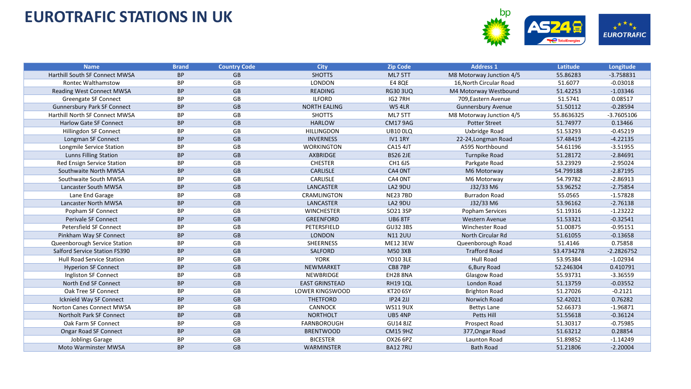

| <b>Name</b>                           | <b>Brand</b> | <b>Country Code</b> | <b>City</b>            | <b>Zip Code</b> | <b>Address 1</b>          | Latitude   | Longitude    |
|---------------------------------------|--------------|---------------------|------------------------|-----------------|---------------------------|------------|--------------|
| Harthill South SF Connect MWSA        | <b>BP</b>    | <b>GB</b>           | <b>SHOTTS</b>          | ML7 5TT         | M8 Motorway Junction 4/5  | 55.86283   | $-3.758831$  |
| <b>Rontec Walthamstow</b>             | <b>BP</b>    | <b>GB</b>           | <b>LONDON</b>          | <b>E4 8QE</b>   | 16. North Circular Road   | 51.6077    | $-0.03018$   |
| <b>Reading West Connect MWSA</b>      | <b>BP</b>    | <b>GB</b>           | <b>READING</b>         | <b>RG30 3UQ</b> | M4 Motorway Westbound     | 51.42253   | $-1.03346$   |
| Greengate SF Connect                  | <b>BP</b>    | GB                  | <b>ILFORD</b>          | IG27RH          | 709, Eastern Avenue       | 51.5741    | 0.08517      |
| <b>Gunnersbury Park SF Connect</b>    | <b>BP</b>    | GB                  | <b>NORTH EALING</b>    | <b>W54LR</b>    | <b>Gunnersbury Avenue</b> | 51.50112   | $-0.28594$   |
| <b>Harthill North SF Connect MWSA</b> | <b>BP</b>    | GB                  | <b>SHOTTS</b>          | ML7 5TT         | M8 Motorway Junction 4/5  | 55.8636325 | $-3.7605106$ |
| <b>Harlow Gate SF Connect</b>         | <b>BP</b>    | GB                  | <b>HARLOW</b>          | <b>CM17 9AG</b> | <b>Potter Street</b>      | 51.74977   | 0.13466      |
| Hillingdon SF Connect                 | <b>BP</b>    | GB                  | <b>HILLINGDON</b>      | <b>UB10 0LQ</b> | Uxbridge Road             | 51.53293   | $-0.45219$   |
| Longman SF Connect                    | <b>BP</b>    | <b>GB</b>           | <b>INVERNESS</b>       | IV11RY          | 22-24, Longman Road       | 57.48419   | $-4.22135$   |
| Longmile Service Station              | <b>BP</b>    | GB                  | <b>WORKINGTON</b>      | <b>CA15 4JT</b> | A595 Northbound           | 54.61196   | $-3.51955$   |
| <b>Lunns Filling Station</b>          | <b>BP</b>    | GB                  | AXBRIDGE               | <b>BS26 2JE</b> | <b>Turnpike Road</b>      | 51.28172   | $-2.84691$   |
| Red Ensign Service Station            | BP           | GB                  | <b>CHESTER</b>         | CH1 6JS         | Parkgate Road             | 53.23929   | $-2.95024$   |
| Southwaite North MWSA                 | <b>BP</b>    | <b>GB</b>           | <b>CARLISLE</b>        | CA4 ONT         | M6 Motorway               | 54.799188  | $-2.87195$   |
| Southwaite South MWSA                 | ВP           | GB                  | <b>CARLISLE</b>        | CA4 ONT         | M6 Motorway               | 54.79782   | $-2.86913$   |
| Lancaster South MWSA                  | <b>BP</b>    | GB                  | LANCASTER              | LA2 9DU         | J32/33 M6                 | 53.96252   | $-2.75854$   |
| Lane End Garage                       | BP           | GB                  | CRAMLINGTON            | <b>NE237BD</b>  | <b>Burradon Road</b>      | 55.0565    | $-1.57828$   |
| <b>Lancaster North MWSA</b>           | <b>BP</b>    | GB                  | LANCASTER              | LA2 9DU         | J32/33 M6                 | 53.96162   | $-2.76138$   |
| Popham SF Connect                     | BP           | GB                  | <b>WINCHESTER</b>      | SO21 3SP        | Popham Services           | 51.19316   | $-1.23222$   |
| Perivale SF Connect                   | <b>BP</b>    | GB                  | <b>GREENFORD</b>       | <b>UB6 8TF</b>  | Western Avenue            | 51.53321   | $-0.32541$   |
| <b>Petersfield SF Connect</b>         | BP           | GB                  | PETERSFIELD            | <b>GU32 3BS</b> | <b>Winchester Road</b>    | 51.00875   | $-0.95151$   |
| Pinkham Way SF Connect                | <b>BP</b>    | GB                  | <b>LONDON</b>          | <b>N112UU</b>   | North Circular Rd         | 51.61055   | $-0.13658$   |
| Queenborough Service Station          | <b>BP</b>    | GB                  | SHEERNESS              | <b>ME12 3EW</b> | Queenborough Road         | 51.4146    | 0.75858      |
| Salford Service Station FS390         | <b>BP</b>    | <b>GB</b>           | <b>SALFORD</b>         | <b>M50 3XB</b>  | <b>Trafford Road</b>      | 53.4734278 | $-2.2826752$ |
| <b>Hull Road Service Station</b>      | <b>BP</b>    | GB                  | <b>YORK</b>            | <b>YO10 3LE</b> | Hull Road                 | 53.95384   | $-1.02934$   |
| <b>Hyperion SF Connect</b>            | <b>BP</b>    | GB                  | NEWMARKET              | CB87BP          | 6, Bury Road              | 52.246304  | 0.410791     |
| Ingliston SF Connect                  | <b>BP</b>    | GB                  | NEWBRIDGE              | <b>EH28 8NA</b> | Glasgow Road              | 55.93731   | $-3.36559$   |
| North End SF Connect                  | <b>BP</b>    | GB                  | <b>EAST GRINSTEAD</b>  | <b>RH191QL</b>  | London Road               | 51.13759   | $-0.03552$   |
| Oak Tree SF Connect                   | <b>BP</b>    | GB                  | <b>LOWER KINGSWOOD</b> | <b>KT20 6SY</b> | <b>Brighton Road</b>      | 51.27026   | $-0.2121$    |
| Icknield Way SF Connect               | <b>BP</b>    | GB                  | <b>THETFORD</b>        | <b>IP24 2JJ</b> | Norwich Road              | 52.42021   | 0.76282      |
| <b>Norton Canes Connect MWSA</b>      | <b>BP</b>    | GB                  | <b>CANNOCK</b>         | <b>WS11 9UX</b> | <b>Bettys Lane</b>        | 52.66373   | $-1.96871$   |
| Northolt Park SF Connect              | <b>BP</b>    | <b>GB</b>           | <b>NORTHOLT</b>        | <b>UB54NP</b>   | Petts Hill                | 51.55618   | $-0.36124$   |
| Oak Farm SF Connect                   | <b>BP</b>    | GB                  | <b>FARNBOROUGH</b>     | <b>GU14 8JZ</b> | Prospect Road             | 51.30317   | $-0.75985$   |
| <b>Ongar Road SF Connect</b>          | <b>BP</b>    | GB                  | <b>BRENTWOOD</b>       | <b>CM15 9HZ</b> | 377, Ongar Road           | 51.63212   | 0.28854      |
| Joblings Garage                       | <b>BP</b>    | GB                  | <b>BICESTER</b>        | OX26 6PZ        | Launton Road              | 51.89852   | $-1.14249$   |
| <b>Moto Warminster MWSA</b>           | <b>BP</b>    | GB                  | WARMINSTER             | <b>BA12 7RU</b> | <b>Bath Road</b>          | 51.21806   | $-2.20004$   |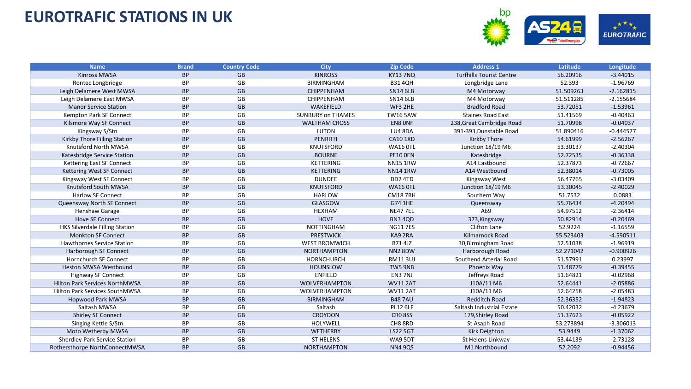

| <b>Name</b>                           | <b>Brand</b> | <b>Country Code</b> | <b>City</b>              | <b>Zip Code</b> | <b>Address 1</b>                | Latitude  | Longitude   |
|---------------------------------------|--------------|---------------------|--------------------------|-----------------|---------------------------------|-----------|-------------|
| <b>Kinross MWSA</b>                   | <b>BP</b>    | <b>GB</b>           | <b>KINROSS</b>           | <b>KY13 7NQ</b> | <b>Turfhills Tourist Centre</b> | 56.20916  | $-3.44015$  |
| Rontec Longbridge                     | ВP           | GB                  | <b>BIRMINGHAM</b>        | <b>B314QH</b>   | Longbridge Lane                 | 52.393    | $-1.96769$  |
| Leigh Delamere West MWSA              | <b>BP</b>    | GB                  | <b>CHIPPENHAM</b>        | <b>SN14 6LB</b> | M4 Motorway                     | 51.509263 | $-2.162815$ |
| Leigh Delamere East MWSA              | <b>BP</b>    | GB                  | <b>CHIPPENHAM</b>        | <b>SN14 6LB</b> | M4 Motorway                     | 51.511285 | $-2.155684$ |
| <b>Manor Service Station</b>          | <b>BP</b>    | GB                  | WAKEFIELD                | WF3 2HE         | <b>Bradford Road</b>            | 53.72051  | $-1.53961$  |
| Kempton Park SF Connect               | <b>BP</b>    | GB                  | <b>SUNBURY on THAMES</b> | <b>TW16 5AW</b> | <b>Staines Road East</b>        | 51.41569  | $-0.40463$  |
| Kilsmore Way SF Connect               | <b>BP</b>    | <b>GB</b>           | <b>WALTHAM CROSS</b>     | EN8 ONF         | 238, Great Cambridge Road       | 51.70998  | $-0.04037$  |
| Kingsway S/Stn                        | BP           | GB                  | LUTON                    | LU4 8DA         | 391-393, Dunstable Road         | 51.890416 | $-0.444577$ |
| Kirkby Thore Filling Station          | <b>BP</b>    | GB                  | <b>PENRITH</b>           | <b>CA10 1XD</b> | <b>Kirkby Thore</b>             | 54.61999  | $-2.56267$  |
| Knutsford North MWSA                  | BP           | GB                  | <b>KNUTSFORD</b>         | <b>WA16 0TL</b> | Junction 18/19 M6               | 53.30137  | $-2.40304$  |
| Katesbridge Service Station           | <b>BP</b>    | <b>GB</b>           | <b>BOURNE</b>            | <b>PE10 0EN</b> | Katesbridge                     | 52.72535  | $-0.36338$  |
| Kettering East SF Connect             | BP           | GB                  | <b>KETTERING</b>         | <b>NN15 1RW</b> | A14 Eastbound                   | 52.37873  | $-0.72667$  |
| Kettering West SF Connect             | <b>BP</b>    | GB                  | <b>KETTERING</b>         | <b>NN141RW</b>  | A14 Westbound                   | 52.38014  | $-0.73005$  |
| Kingsway West SF Connect              | ВP           | GB                  | <b>DUNDEE</b>            | DD2 4TD         | Kingsway West                   | 56.47765  | $-3.03409$  |
| Knutsford South MWSA                  | <b>BP</b>    | GB                  | <b>KNUTSFORD</b>         | <b>WA16 OTL</b> | Junction 18/19 M6               | 53.30045  | $-2.40029$  |
| <b>Harlow SF Connect</b>              | <b>BP</b>    | GB                  | <b>HARLOW</b>            | <b>CM187BH</b>  | Southern Way                    | 51.7532   | 0.0883      |
| Queensway North SF Connect            | <b>BP</b>    | <b>GB</b>           | <b>GLASGOW</b>           | G74 1HE         | Queensway                       | 55.76434  | $-4.20494$  |
| Henshaw Garage                        | ВP           | GB                  | HEXHAM                   | <b>NE477EL</b>  | A69                             | 54.97512  | $-2.36414$  |
| <b>Hove SF Connect</b>                | <b>BP</b>    | GB                  | <b>HOVE</b>              | BN3 4QD         | 373, Kingsway                   | 50.82914  | $-0.20469$  |
| <b>HKS Silverdale Filling Station</b> | BP           | GB                  | <b>NOTTINGHAM</b>        | <b>NG117ES</b>  | <b>Clifton Lane</b>             | 52.9224   | $-1.16559$  |
| <b>Monkton SF Connect</b>             | <b>BP</b>    | GB                  | <b>PRESTWICK</b>         | KA9 2RA         | Kilmarnock Road                 | 55.523403 | $-4.590511$ |
| <b>Hawthornes Service Station</b>     | BP           | GB                  | <b>WEST BROMWICH</b>     | B71 4JZ         | 30, Birmingham Road             | 52.51038  | $-1.96919$  |
| Harborough SF Connect                 | <b>BP</b>    | GB                  | <b>NORTHAMPTON</b>       | NN28DW          | Harborough Road                 | 52.271042 | $-0.900926$ |
| <b>Hornchurch SF Connect</b>          | <b>BP</b>    | GB                  | <b>HORNCHURCH</b>        | <b>RM113UJ</b>  | Southend Arterial Road          | 51.57991  | 0.23997     |
| Heston MWSA Westbound                 | <b>BP</b>    | GB                  | <b>HOUNSLOW</b>          | TW5 9NB         | Phoenix Way                     | 51.48779  | $-0.39455$  |
| <b>Highway SF Connect</b>             | <b>BP</b>    | GB                  | <b>ENFIELD</b>           | EN3 7NJ         | Jeffreys Road                   | 51.64821  | $-0.02968$  |
| Hilton Park Services NorthMWSA        | <b>BP</b>    | GB                  | <b>WOLVERHAMPTON</b>     | <b>WV11 2AT</b> | J10A/11 M6                      | 52.64441  | $-2.05886$  |
| Hilton Park Services SouthMWSA        | ВP           | GB                  | <b>WOLVERHAMPTON</b>     | <b>WV11 2AT</b> | J10A/11 M6                      | 52.64258  | $-2.05483$  |
| <b>Hopwood Park MWSA</b>              | <b>BP</b>    | <b>GB</b>           | <b>BIRMINGHAM</b>        | <b>B487AU</b>   | Redditch Road                   | 52.36352  | $-1.94823$  |
| Saltash MWSA                          | ВP           | GB                  | Saltash                  | <b>PL12 6LF</b> | Saltash Industrial Estate       | 50.42032  | $-4.23679$  |
| Shirley SF Connect                    | <b>BP</b>    | GB                  | <b>CROYDON</b>           | <b>CRO 8SS</b>  | 179, Shirley Road               | 51.37623  | $-0.05922$  |
| Singing Kettle S/Stn                  | <b>BP</b>    | GB                  | HOLYWELL                 | CH8 8RD         | St Asaph Road                   | 53.273894 | $-3.306013$ |
| Moto Wetherby MWSA                    | <b>BP</b>    | <b>GB</b>           | WETHERBY                 | <b>LS22 5GT</b> | Kirk Deighton                   | 53.9449   | $-1.37062$  |
| Sherdley Park Service Station         | BP           | GB                  | <b>ST HELENS</b>         | WA9 5DT         | St Helens Linkway               | 53.44139  | $-2.73128$  |
| Rothersthorpe NorthConnectMWSA        | <b>BP</b>    | <b>GB</b>           | <b>NORTHAMPTON</b>       | <b>NN4 9QS</b>  | M1 Northbound                   | 52.2092   | $-0.94456$  |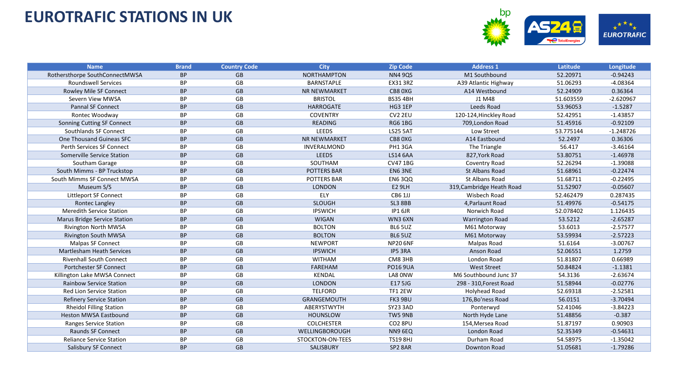

| <b>Name</b>                      | <b>Brand</b> | <b>Country Code</b> | <b>City</b>         | <b>Zip Code</b>     | <b>Address 1</b>          | Latitude  | Longitude   |
|----------------------------------|--------------|---------------------|---------------------|---------------------|---------------------------|-----------|-------------|
| Rothersthorpe SouthConnectMWSA   | <b>BP</b>    | <b>GB</b>           | <b>NORTHAMPTON</b>  | <b>NN4 9QS</b>      | M1 Southbound             | 52.20971  | $-0.94243$  |
| <b>Roundswell Services</b>       | BP           | GB                  | <b>BARNSTAPLE</b>   | <b>EX31 3RZ</b>     | A39 Atlantic Highway      | 51.06293  | $-4.08364$  |
| Rowley Mile SF Connect           | <b>BP</b>    | GB                  | <b>NR NEWMARKET</b> | CB8 0XG             | A14 Westbound             | 52.24909  | 0.36364     |
| Severn View MWSA                 | <b>BP</b>    | GB                  | <b>BRISTOL</b>      | <b>BS35 4BH</b>     | J1 M48                    | 51.603559 | $-2.620967$ |
| <b>Pannal SF Connect</b>         | <b>BP</b>    | GB                  | <b>HARROGATE</b>    | HG3 1EP             | Leeds Road                | 53.96053  | $-1.5287$   |
| Rontec Woodway                   | <b>BP</b>    | GB                  | <b>COVENTRY</b>     | CV <sub>2</sub> 2EU | 120-124, Hinckley Road    | 52.42951  | $-1.43857$  |
| Sonning Cutting SF Connect       | <b>BP</b>    | GB                  | <b>READING</b>      | <b>RG6 1BG</b>      | 709, London Road          | 51.45916  | $-0.92109$  |
| Southlands SF Connect            | <b>BP</b>    | GB                  | <b>LEEDS</b>        | <b>LS25 5AT</b>     | Low Street                | 53.775144 | $-1.248726$ |
| One Thousand Guineas SFC         | <b>BP</b>    | GB                  | NR NEWMARKET        | CB8 0XG             | A14 Eastbound             | 52.2497   | 0.36306     |
| Perth Services SF Connect        | <b>BP</b>    | GB                  | INVERALMOND         | PH1 3GA             | The Triangle              | 56.417    | $-3.46164$  |
| Somerville Service Station       | <b>BP</b>    | GB                  | <b>LEEDS</b>        | <b>LS14 6AA</b>     | 827, York Road            | 53.80751  | $-1.46978$  |
| Southam Garage                   | BP           | GB                  | SOUTHAM             | <b>CV471BG</b>      | Coventry Road             | 52.26294  | $-1.39088$  |
| South Mimms - BP Truckstop       | <b>BP</b>    | GB                  | <b>POTTERS BAR</b>  | EN6 3NE             | <b>St Albans Road</b>     | 51.68961  | $-0.22474$  |
| South Mimms SF Connect MWSA      | BP           | GB                  | <b>POTTERS BAR</b>  | <b>EN6 3QQ</b>      | St Albans Road            | 51.68711  | $-0.22495$  |
| Museum S/S                       | <b>BP</b>    | GB                  | <b>LONDON</b>       | <b>E2 9LH</b>       | 319, Cambridge Heath Road | 51.52907  | $-0.05607$  |
| Littleport SF Connect            | ВP           | GB                  | ELY                 | CB6 1JJ             | Wisbech Road              | 52.462479 | 0.287435    |
| Rontec Langley                   | <b>BP</b>    | GB                  | <b>SLOUGH</b>       | <b>SL3 8BB</b>      | 4, Parlaunt Road          | 51.49976  | $-0.54175$  |
| <b>Meredith Service Station</b>  | BP           | GB                  | <b>IPSWICH</b>      | IP1 6JR             | Norwich Road              | 52.078402 | 1.126435    |
| Marus Bridge Service Station     | <b>BP</b>    | GB                  | <b>WIGAN</b>        | WN36XN              | <b>Warrington Road</b>    | 53.5212   | $-2.65287$  |
| <b>Rivington North MWSA</b>      | BP           | GB                  | <b>BOLTON</b>       | BL6 5UZ             | M61 Motorway              | 53.6013   | $-2.57577$  |
| <b>Rivington South MWSA</b>      | <b>BP</b>    | GB                  | <b>BOLTON</b>       | BL6 5UZ             | M61 Motorway              | 53.59934  | $-2.57223$  |
| <b>Malpas SF Connect</b>         | <b>BP</b>    | GB                  | <b>NEWPORT</b>      | <b>NP20 6NF</b>     | Malpas Road               | 51.6164   | $-3.00767$  |
| <b>Martlesham Heath Services</b> | <b>BP</b>    | GB                  | <b>IPSWICH</b>      | IP5 3RA             | Anson Road                | 52.06551  | 1.2759      |
| <b>Rivenhall South Connect</b>   | BP           | GB                  | <b>WITHAM</b>       | CM83HB              | London Road               | 51.81807  | 0.66989     |
| Portchester SF Connect           | <b>BP</b>    | GB                  | <b>FAREHAM</b>      | <b>PO16 9UA</b>     | <b>West Street</b>        | 50.84824  | $-1.1381$   |
| Killington Lake MWSA Connect     | ВP           | GB                  | <b>KENDAL</b>       | LA8 0NW             | M6 Southbound Junc 37     | 54.3136   | $-2.63674$  |
| <b>Rainbow Service Station</b>   | <b>BP</b>    | GB                  | <b>LONDON</b>       | E17 5JG             | 298 - 310, Forest Road    | 51.58944  | $-0.02776$  |
| <b>Red Lion Service Station</b>  | <b>BP</b>    | GB                  | <b>TELFORD</b>      | TF1 2EW             | Holyhead Road             | 52.69318  | $-2.52581$  |
| <b>Refinery Service Station</b>  | <b>BP</b>    | GB                  | GRANGEMOUTH         | FK3 9BU             | 176, Bo'ness Road         | 56.0151   | $-3.70494$  |
| <b>Rheidol Filling Station</b>   | <b>BP</b>    | GB                  | ABERYSTWYTH         | <b>SY23 3AD</b>     | Ponterwyd                 | 52.41046  | $-3.84223$  |
| <b>Heston MWSA Eastbound</b>     | <b>BP</b>    | GB                  | <b>HOUNSLOW</b>     | TW5 9NB             | North Hyde Lane           | 51.48856  | $-0.387$    |
| Ranges Service Station           | <b>BP</b>    | GB                  | <b>COLCHESTER</b>   | CO <sub>2</sub> 8PU | 154, Mersea Road          | 51.87197  | 0.90903     |
| Raunds SF Connect                | <b>BP</b>    | GB                  | WELLINGBOROUGH      | NN9 6EQ             | London Road               | 52.35349  | $-0.54631$  |
| <b>Reliance Service Station</b>  | BP           | GB                  | STOCKTON-ON-TEES    | <b>TS19 8HJ</b>     | Durham Road               | 54.58975  | $-1.35042$  |
| Salisbury SF Connect             | <b>BP</b>    | GB                  | SALISBURY           | SP <sub>2</sub> 8AR | Downton Road              | 51.05681  | $-1.79286$  |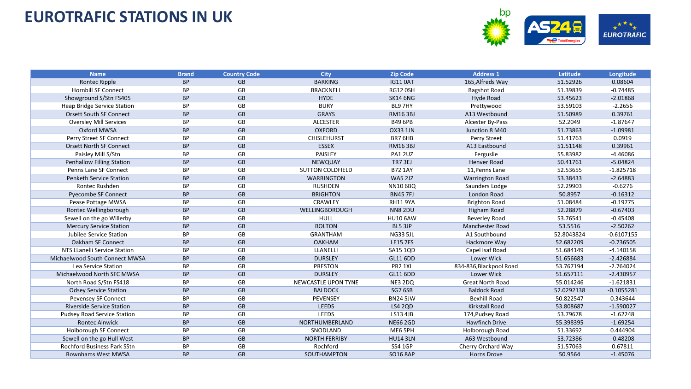

| <b>Name</b>                        | <b>Brand</b> | <b>Country Code</b> | <b>City</b>                | <b>Zip Code</b> | <b>Address 1</b>        | Latitude   | Longitude    |
|------------------------------------|--------------|---------------------|----------------------------|-----------------|-------------------------|------------|--------------|
| <b>Rontec Ripple</b>               | <b>BP</b>    | <b>GB</b>           | <b>BARKING</b>             | <b>IG110AT</b>  | 165, Alfreds Way        | 51.52926   | 0.08604      |
| <b>Hornbill SF Connect</b>         | <b>BP</b>    | GB                  | <b>BRACKNELL</b>           | <b>RG12 0SH</b> | <b>Bagshot Road</b>     | 51.39839   | $-0.74485$   |
| Showground S/Stn FS405             | <b>BP</b>    | GB                  | <b>HYDE</b>                | <b>SK14 6NG</b> | Hyde Road               | 53.45623   | $-2.01868$   |
| Heap Bridge Service Station        | ВP           | GB                  | <b>BURY</b>                | BL97HY          | Prettywood              | 53.59103   | $-2.2656$    |
| <b>Orsett South SF Connect</b>     | <b>BP</b>    | <b>GB</b>           | <b>GRAYS</b>               | <b>RM163BJ</b>  | A13 Westbound           | 51.50989   | 0.39761      |
| <b>Oversley Mill Services</b>      | BP           | GB                  | <b>ALCESTER</b>            | <b>B49 6PB</b>  | Alcester By-Pass        | 52.2049    | $-1.87647$   |
| Oxford MWSA                        | <b>BP</b>    | GB                  | <b>OXFORD</b>              | <b>OX33 1JN</b> | Junction 8 M40          | 51.73863   | $-1.09981$   |
| Perry Street SF Connect            | <b>BP</b>    | GB                  | <b>CHISLEHURST</b>         | BR7 6HB         | Perry Street            | 51.41763   | 0.0919       |
| <b>Orsett North SF Connect</b>     | <b>BP</b>    | GB                  | <b>ESSEX</b>               | <b>RM16 3BJ</b> | A13 Eastbound           | 51.51148   | 0.39961      |
| Paisley Mill S/Stn                 | <b>BP</b>    | GB                  | PAISLEY                    | <b>PA1 2UZ</b>  | Ferguslie               | 55.83982   | $-4.46086$   |
| <b>Penhallow Filling Station</b>   | <b>BP</b>    | GB                  | <b>NEWQUAY</b>             | <b>TR7 3EJ</b>  | <b>Henver Road</b>      | 50.41761   | $-5.04824$   |
| Penns Lane SF Connect              | BP           | GB                  | <b>SUTTON COLDFIELD</b>    | <b>B72 1AY</b>  | 11, Penns Lane          | 52.53655   | $-1.825718$  |
| <b>Penketh Service Station</b>     | <b>BP</b>    | GB                  | <b>WARRINGTON</b>          | <b>WA5 2JZ</b>  | <b>Warrington Road</b>  | 53.38433   | $-2.64883$   |
| Rontec Rushden                     | BP           | GB                  | <b>RUSHDEN</b>             | <b>NN10 6BQ</b> | Saunders Lodge          | 52.29903   | $-0.6276$    |
| Pyecombe SF Connect                | <b>BP</b>    | GB                  | <b>BRIGHTON</b>            | <b>BN457FJ</b>  | London Road             | 50.8957    | $-0.16312$   |
| Pease Pottage MWSA                 | <b>BP</b>    | GB                  | CRAWLEY                    | <b>RH11 9YA</b> | <b>Brighton Road</b>    | 51.08484   | $-0.19775$   |
| Rontec Wellingborough              | <b>BP</b>    | GB                  | WELLINGBOROUGH             | <b>NN8 2DU</b>  | Higham Road             | 52.28879   | $-0.67403$   |
| Sewell on the go Willerby          | BP           | GB                  | HULL                       | <b>HU10 6AW</b> | <b>Beverley Road</b>    | 53.76541   | $-0.45408$   |
| <b>Mercury Service Station</b>     | <b>BP</b>    | GB                  | <b>BOLTON</b>              | BL5 3JP         | <b>Manchester Road</b>  | 53.5516    | $-2.50262$   |
| Jubilee Service Station            | BP           | GB                  | <b>GRANTHAM</b>            | <b>NG33 5JL</b> | A1 Southbound           | 52.8043824 | $-0.6107155$ |
| Oakham SF Connect                  | <b>BP</b>    | GB                  | <b>OAKHAM</b>              | <b>LE15 7FS</b> | Hackmore Way            | 52.682209  | $-0.736505$  |
| NTS LLanelli Service Station       | BP           | GB                  | LLANELLI                   | SA15 1QD        | Capel Isaf Road         | 51.684149  | $-4.140158$  |
| Michaelwood South Connect MWSA     | <b>BP</b>    | GB                  | <b>DURSLEY</b>             | GL11 6DD        | Lower Wick              | 51.656683  | $-2.426884$  |
| Lea Service Station                | BP           | GB                  | <b>PRESTON</b>             | PR2 1XL         | 834-836, Blackpool Road | 53.767194  | $-2.764024$  |
| Michaelwood North SFC MWSA         | <b>BP</b>    | GB                  | <b>DURSLEY</b>             | GL11 6DD        | Lower Wick              | 51.657111  | $-2.430957$  |
| North Road S/Stn FS418             | <b>BP</b>    | GB                  | <b>NEWCASTLE UPON TYNE</b> | NE3 2DQ         | <b>Great North Road</b> | 55.014246  | $-1.621831$  |
| <b>Odsey Service Station</b>       | <b>BP</b>    | <b>GB</b>           | <b>BALDOCK</b>             | SG7 6SB         | <b>Baldock Road</b>     | 52.0292138 | $-0.1055281$ |
| Pevensey SF Connect                | BP           | GB                  | <b>PEVENSEY</b>            | <b>BN24 5JW</b> | Bexhill Road            | 50.822547  | 0.343644     |
| <b>Riverside Service Station</b>   | <b>BP</b>    | GB                  | <b>LEEDS</b>               | <b>LS4 2QD</b>  | <b>Kirkstall Road</b>   | 53.808687  | $-1.590027$  |
| <b>Pudsey Road Service Station</b> | BP           | GB                  | <b>LEEDS</b>               | LS13 4JB        | 174, Pudsey Road        | 53.79678   | $-1.62248$   |
| <b>Rontec Alnwick</b>              | <b>BP</b>    | GB                  | NORTHUMBERLAND             | <b>NE66 2GD</b> | <b>Hawfinch Drive</b>   | 55.398395  | $-1.69254$   |
| Holborough SF Connect              | <b>BP</b>    | GB                  | SNODLAND                   | ME6 5PH         | Holborough Road         | 51.33692   | 0.444904     |
| Sewell on the go Hull West         | <b>BP</b>    | GB                  | <b>NORTH FERRIBY</b>       | <b>HU14 3LN</b> | A63 Westbound           | 53.72386   | $-0.48208$   |
| <b>Rochford Business Park SStn</b> | BP           | GB                  | Rochford                   | <b>SS4 1GP</b>  | Cherry Orchard Way      | 51.57063   | 0.67811      |
| Rownhams West MWSA                 | <b>BP</b>    | GB                  | SOUTHAMPTON                | <b>SO16 8AP</b> | Horns Drove             | 50.9564    | $-1.45076$   |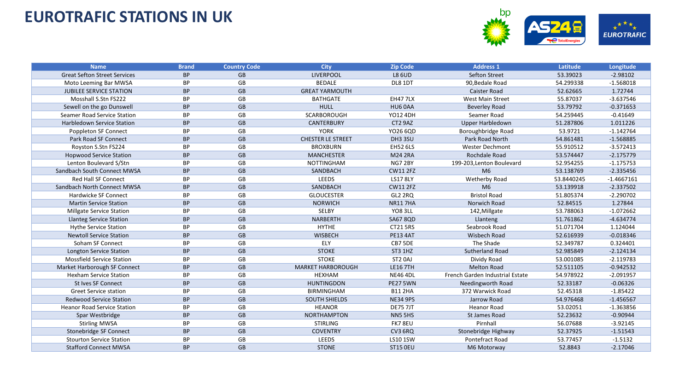

| <b>Name</b>                         | <b>Brand</b> | <b>Country Code</b> | <b>City</b>              | <b>Zip Code</b>     | <b>Address 1</b>                | Latitude   | Longitude    |
|-------------------------------------|--------------|---------------------|--------------------------|---------------------|---------------------------------|------------|--------------|
| <b>Great Sefton Street Services</b> | <b>BP</b>    | <b>GB</b>           | <b>LIVERPOOL</b>         | <b>L8 6UD</b>       | Sefton Street                   | 53.39023   | $-2.98102$   |
| Moto Leeming Bar MWSA               | BP           | GB                  | <b>BEDALE</b>            | DL8 1DT             | 90, Bedale Road                 | 54.299338  | $-1.568018$  |
| <b>JUBILEE SERVICE STATION</b>      | <b>BP</b>    | <b>GB</b>           | <b>GREAT YARMOUTH</b>    |                     | <b>Caister Road</b>             | 52.62665   | 1.72744      |
| Mosshall S.Stn FS222                | <b>BP</b>    | GB                  | <b>BATHGATE</b>          | <b>EH477LX</b>      | <b>West Main Street</b>         | 55.87037   | $-3.637546$  |
| Sewell on the go Dunswell           | <b>BP</b>    | <b>GB</b>           | <b>HULL</b>              | HU6 0AA             | <b>Beverley Road</b>            | 53.79792   | $-0.371653$  |
| Seamer Road Service Station         | <b>BP</b>    | GB                  | <b>SCARBOROUGH</b>       | YO12 4DH            | Seamer Road                     | 54.259445  | $-0.41649$   |
| Harbledown Service Station          | <b>BP</b>    | <b>GB</b>           | <b>CANTERBURY</b>        | CT2 9AZ             | Upper Harbledown                | 51.287806  | 1.011226     |
| Poppleton SF Connect                | BP           | GB                  | <b>YORK</b>              | YO26 6QD            | Boroughbridge Road              | 53.9721    | $-1.142764$  |
| Park Road SF Connect                | <b>BP</b>    | GB                  | <b>CHESTER LE STREET</b> | DH3 3SU             | Park Road North                 | 54.861481  | $-1.568885$  |
| Royston S.Stn FS224                 | <b>BP</b>    | GB                  | <b>BROXBURN</b>          | <b>EH52 6LS</b>     | <b>Wester Dechmont</b>          | 55.910512  | $-3.572413$  |
| <b>Hopwood Service Station</b>      | <b>BP</b>    | <b>GB</b>           | <b>MANCHESTER</b>        | <b>M24 2RA</b>      | Rochdale Road                   | 53.574447  | $-2.175779$  |
| Lenton Boulevard S/Stn              | <b>BP</b>    | GB                  | <b>NOTTINGHAM</b>        | NG7 2BY             | 199-203, Lenton Boulevard       | 52.954255  | $-1.175753$  |
| Sandbach South Connect MWSA         | <b>BP</b>    | GB                  | SANDBACH                 | <b>CW11 2FZ</b>     | M <sub>6</sub>                  | 53.138769  | $-2.335456$  |
| <b>Red Hall SF Connect</b>          | BP           | GB                  | LEEDS                    | <b>LS17 8LY</b>     | <b>Wetherby Road</b>            | 53.8440245 | $-1.4667161$ |
| Sandbach North Connect MWSA         | <b>BP</b>    | <b>GB</b>           | SANDBACH                 | <b>CW11 2FZ</b>     | M <sub>6</sub>                  | 53.139918  | $-2.337502$  |
| <b>Hardwicke SF Connect</b>         | <b>BP</b>    | GB                  | <b>GLOUCESTER</b>        | GL2 2RQ             | <b>Bristol Road</b>             | 51.805374  | $-2.290702$  |
| <b>Martin Service Station</b>       | <b>BP</b>    | <b>GB</b>           | <b>NORWICH</b>           | <b>NR117HA</b>      | Norwich Road                    | 52.84515   | 1.27844      |
| Millgate Service Station            | ВP           | GB                  | SELBY                    | <b>YO8 3LL</b>      | 142, Millgate                   | 53.788063  | $-1.072662$  |
| <b>Llanteg Service Station</b>      | <b>BP</b>    | <b>GB</b>           | <b>NARBERTH</b>          | <b>SA67 8QD</b>     | Llanteng                        | 51.761862  | $-4.634774$  |
| <b>Hythe Service Station</b>        | BP           | GB                  | <b>HYTHE</b>             | <b>CT215RS</b>      | Seabrook Road                   | 51.071704  | 1.124044     |
| <b>Newtoll Service Station</b>      | <b>BP</b>    | <b>GB</b>           | <b>WISBECH</b>           | <b>PE13 4AT</b>     | Wisbech Road                    | 52.616939  | $-0.018346$  |
| Soham SF Connect                    | <b>BP</b>    | GB                  | ELY                      | CB7 5DE             | The Shade                       | 52.349787  | 0.324401     |
| <b>Longton Service Station</b>      | <b>BP</b>    | GB                  | <b>STOKE</b>             | ST3 1HZ             | Sutherland Road                 | 52.985849  | $-2.124134$  |
| <b>Mossfield Service Station</b>    | <b>BP</b>    | GB                  | <b>STOKE</b>             | ST <sub>2</sub> 0AJ | Dividy Road                     | 53.001085  | $-2.119783$  |
| Market Harborough SF Connect        | <b>BP</b>    | GB                  | <b>MARKET HARBOROUGH</b> | <b>LE167TH</b>      | <b>Melton Road</b>              | 52.511105  | $-0.942532$  |
| <b>Hexham Service Station</b>       | BP           | GB                  | <b>HEXHAM</b>            | <b>NE46 4DL</b>     | French Garden Industrial Estate | 54.978922  | $-2.091957$  |
| <b>St Ives SF Connect</b>           | <b>BP</b>    | GB                  | <b>HUNTINGDON</b>        | <b>PE27 5WN</b>     | Needingworth Road               | 52.33187   | $-0.06326$   |
| <b>Greet Service station</b>        | <b>BP</b>    | GB                  | <b>BIRMINGHAM</b>        | <b>B11 2HA</b>      | 372 Warwick Road                | 52.45318   | $-1.85422$   |
| <b>Redwood Service Station</b>      | <b>BP</b>    | GB                  | <b>SOUTH SHIELDS</b>     | <b>NE34 9PS</b>     | Jarrow Road                     | 54.976468  | $-1.456567$  |
| <b>Heanor Road Service Station</b>  | <b>BP</b>    | GB                  | <b>HEANOR</b>            | <b>DE75 7JT</b>     | <b>Heanor Road</b>              | 53.02051   | $-1.363856$  |
| Spar Westbridge                     | <b>BP</b>    | <b>GB</b>           | <b>NORTHAMPTON</b>       | <b>NN5 5HS</b>      | St James Road                   | 52.23632   | $-0.90944$   |
| <b>Stirling MWSA</b>                | <b>BP</b>    | GB                  | <b>STIRLING</b>          | FK7 8EU             | Pirnhall                        | 56.07688   | $-3.92145$   |
| Stonebridge SF Connect              | <b>BP</b>    | GB                  | <b>COVENTRY</b>          | CV3 6RQ             | Stonebridge Highway             | 52.37925   | $-1.51543$   |
| <b>Stourton Service Station</b>     | <b>BP</b>    | GB                  | LEEDS                    | <b>LS10 1SW</b>     | Pontefract Road                 | 53.77457   | $-1.5132$    |
| <b>Stafford Connect MWSA</b>        | <b>BP</b>    | GB                  | <b>STONE</b>             | <b>ST15 OEU</b>     | M6 Motorway                     | 52.8843    | $-2.17046$   |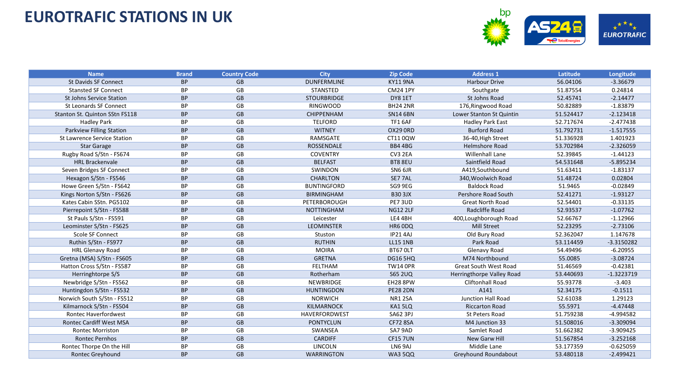

| <b>Name</b>                        | <b>Brand</b> | <b>Country Code</b> | <b>City</b>        | <b>Zip Code</b> | <b>Address 1</b>             | Latitude  | Longitude    |
|------------------------------------|--------------|---------------------|--------------------|-----------------|------------------------------|-----------|--------------|
| St Davids SF Connect               | <b>BP</b>    | <b>GB</b>           | <b>DUNFERMLINE</b> | <b>KY11 9NA</b> | Harbour Drive                | 56.04106  | $-3.36679$   |
| <b>Stansted SF Connect</b>         | ВP           | GB                  | STANSTED           | <b>CM24 1PY</b> | Southgate                    | 51.87554  | 0.24814      |
| <b>St Johns Service Station</b>    | <b>BP</b>    | GB                  | <b>STOURBRIDGE</b> | DY8 1ET         | St Johns Road                | 52.45741  | $-2.14477$   |
| St Leonards SF Connect             | <b>BP</b>    | GB                  | <b>RINGWOOD</b>    | <b>BH24 2NR</b> | 176, Ringwood Road           | 50.82889  | $-1.83879$   |
| Stanton St. Quinton SStn FS118     | <b>BP</b>    | GB                  | <b>CHIPPENHAM</b>  | <b>SN14 6BN</b> | Lower Stanton St Quintin     | 51.524417 | $-2.123418$  |
| <b>Hadley Park</b>                 | BP           | GB                  | <b>TELFORD</b>     | TF1 6AF         | Hadley Park East             | 52.717674 | $-2.477438$  |
| Parkview Filling Station           | <b>BP</b>    | <b>GB</b>           | <b>WITNEY</b>      | OX29 ORD        | <b>Burford Road</b>          | 51.792731 | $-1.517555$  |
| <b>St Lawrence Service Station</b> | BP           | GB                  | RAMSGATE           | CT110QW         | 36-40, High Street           | 51.336928 | 1.401923     |
| <b>Star Garage</b>                 | <b>BP</b>    | GB                  | <b>ROSSENDALE</b>  | BB4 4BG         | Helmshore Road               | 53.702984 | $-2.326059$  |
| Rugby Road S/Stn - FS674           | BP           | GB                  | <b>COVENTRY</b>    | CV3 2EA         | Willenhall Lane              | 52.39845  | $-1.44123$   |
| <b>HRL Brackenvale</b>             | <b>BP</b>    | GB                  | <b>BELFAST</b>     | BT8 8EU         | Saintfield Road              | 54.531648 | $-5.895234$  |
| Seven Bridges SF Connect           | BP           | GB                  | SWINDON            | SN6 6JR         | A419,Southbound              | 51.63411  | $-1.83137$   |
| Hexagon S/Stn - FS546              | BP           | GB                  | CHARLTON           | SE77AL          | 340, Woolwich Road           | 51.48724  | 0.02804      |
| Howe Green S/Stn - FS642           | <b>BP</b>    | GB                  | <b>BUNTINGFORD</b> | SG9 9EG         | <b>Baldock Road</b>          | 51.9465   | $-0.02849$   |
| Kings Norton S/Stn - FS626         | <b>BP</b>    | GB                  | <b>BIRMINGHAM</b>  | <b>B30 3JX</b>  | Pershore Road South          | 52.41271  | $-1.93127$   |
| Kates Cabin SStn. PG5102           | BP           | GB                  | PETERBOROUGH       | PE73UD          | <b>Great North Road</b>      | 52.54401  | $-0.33135$   |
| Pierrepoint S/Stn - FS588          | <b>BP</b>    | GB                  | <b>NOTTINGHAM</b>  | <b>NG12 2LF</b> | Radcliffe Road               | 52.93537  | $-1.07762$   |
| St Pauls S/Stn - FS591             | BP           | GB                  | Leicester          | LE4 4BH         | 400, Loughborough Road       | 52.66767  | $-1.12966$   |
| Leominster S/Stn - FS625           | <b>BP</b>    | <b>GB</b>           | <b>LEOMINSTER</b>  | HR6 ODQ         | Mill Street                  | 52.23295  | $-2.73106$   |
| <b>Scole SF Connect</b>            | BP           | GB                  | Stuston            | <b>IP214AJ</b>  | Old Bury Road                | 52.362047 | 1.147678     |
| Ruthin S/Stn - FS977               | <b>BP</b>    | GB                  | <b>RUTHIN</b>      | <b>LL15 1NB</b> | Park Road                    | 53.114459 | $-3.3150282$ |
| <b>HRL Glenavy Road</b>            | BP           | GB                  | <b>MOIRA</b>       | BT67 OLT        | Glenavy Road                 | 54.49496  | $-6.20955$   |
| Gretna (MSA) S/Stn - FS605         | <b>BP</b>    | GB                  | <b>GRETNA</b>      | <b>DG16 5HQ</b> | M74 Northbound               | 55.0085   | $-3.08724$   |
| Hatton Cross S/Stn - FS587         | <b>BP</b>    | GB                  | <b>FELTHAM</b>     | <b>TW14 OPR</b> | <b>Great South West Road</b> | 51.46569  | $-0.42381$   |
| Herringhtorpe S/S                  | <b>BP</b>    | GB                  | Rotherham          | <b>S65 2UQ</b>  | Herringthorpe Valley Road    | 53.440693 | $-1.3223719$ |
| Newbridge S/Stn - FS562            | BP           | GB                  | NEWBRIDGE          | EH28 8PW        | Cliftonhall Road             | 55.93778  | $-3.403$     |
| Huntingdon S/Stn - FS532           | <b>BP</b>    | <b>GB</b>           | <b>HUNTINGDON</b>  | <b>PE28 2DN</b> | A141                         | 52.34175  | $-0.1511$    |
| Norwich South S/Stn - FS512        | BP           | GB                  | <b>NORWICH</b>     | <b>NR1 2SA</b>  | <b>Junction Hall Road</b>    | 52.61038  | 1.29123      |
| Kilmarnock S/Stn - FS504           | <b>BP</b>    | <b>GB</b>           | <b>KILMARNOCK</b>  | KA1 5LQ         | <b>Riccarton Road</b>        | 55.5971   | $-4.47448$   |
| <b>Rontec Haverfordwest</b>        | BP           | GB                  | HAVERFORDWEST      | <b>SA62 3PJ</b> | St Peters Road               | 51.759238 | $-4.994582$  |
| <b>Rontec Cardiff West MSA</b>     | <b>BP</b>    | GB                  | <b>PONTYCLUN</b>   | <b>CF72 8SA</b> | M4 Junction 33               | 51.508016 | $-3.309094$  |
| <b>Rontec Morriston</b>            | <b>BP</b>    | GB                  | <b>SWANSEA</b>     | SA7 9AD         | Samlet Road                  | 51.662382 | $-3.909425$  |
| <b>Rontec Pernhos</b>              | <b>BP</b>    | GB                  | <b>CARDIFF</b>     | <b>CF15 7UN</b> | New Garw Hill                | 51.567854 | $-3.252168$  |
| Rontec Thorpe On the Hill          | ΒP           | GB                  | LINCOLN            | LN6 9AJ         | Middle Lane                  | 53.177359 | $-0.625059$  |
| <b>Rontec Greyhound</b>            | <b>BP</b>    | GB                  | <b>WARRINGTON</b>  | <b>WA3 5QQ</b>  | <b>Greyhound Roundabout</b>  | 53.480118 | $-2.499421$  |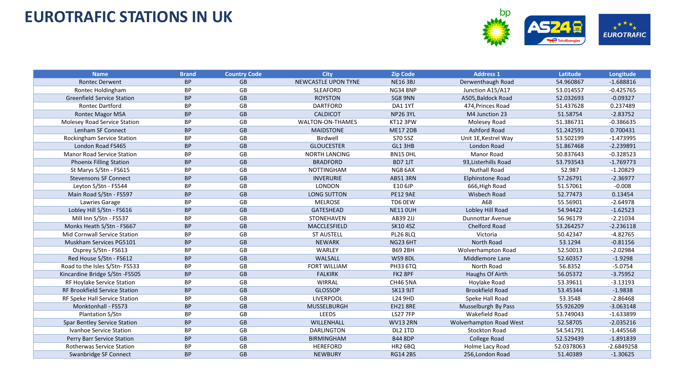

| <b>Name</b>                         | <b>Brand</b> | <b>Country Code</b> | <b>City</b>                | <b>Zip Code</b> | <b>Address 1</b>        | Latitude   | Longitude    |
|-------------------------------------|--------------|---------------------|----------------------------|-----------------|-------------------------|------------|--------------|
| <b>Rontec Derwent</b>               | <b>BP</b>    | <b>GB</b>           | <b>NEWCASTLE UPON TYNE</b> | <b>NE163BJ</b>  | Derwenthaugh Road       | 54.960867  | $-1.688816$  |
| Rontec Holdingham                   | BP           | GB                  | <b>SLEAFORD</b>            | <b>NG34 8NP</b> | Junction A15/A17        | 53.014557  | $-0.425765$  |
| <b>Greenfield Service Station</b>   | <b>BP</b>    | GB                  | <b>ROYSTON</b>             | SG8 9NN         | A505, Baldock Road      | 52.032693  | $-0.09327$   |
| <b>Rontec Dartford</b>              | ВP           | GB                  | <b>DARTFORD</b>            | DA1 1YT         | 474, Princes Road       | 51.437628  | 0.237489     |
| <b>Rontec Magor MSA</b>             | <b>BP</b>    | GB                  | <b>CALDICOT</b>            | <b>NP26 3YL</b> | M4 Junction 23          | 51.58754   | $-2.83752$   |
| Molesey Road Service Station        | BP           | GB                  | WALTON-ON-THAMES           | <b>KT12 3PW</b> | Molesey Road            | 51.386731  | $-0.386635$  |
| Lenham SF Connect                   | <b>BP</b>    | <b>GB</b>           | <b>MAIDSTONE</b>           | <b>ME17 2DB</b> | Ashford Road            | 51.242591  | 0.700431     |
| Rockingham Service Station          | <b>BP</b>    | GB                  | Birdwell                   | S70 5SZ         | Unit 1E, Kestrel Way    | 53.502199  | $-1.473995$  |
| London Road FS465                   | <b>BP</b>    | <b>GB</b>           | <b>GLOUCESTER</b>          | GL1 3HB         | London Road             | 51.867468  | $-2.239891$  |
| <b>Manor Road Service Station</b>   | <b>BP</b>    | GB                  | <b>NORTH LANCING</b>       | <b>BN15 OHL</b> | <b>Manor Road</b>       | 50.837643  | $-0.328523$  |
| <b>Phoenix Filling Station</b>      | <b>BP</b>    | GB                  | <b>BRADFORD</b>            | <b>BD7 1JT</b>  | 93, Listerhills Road    | 53.793543  | $-1.769773$  |
| St Marys S/Stn - FS615              | BP           | GB                  | <b>NOTTINGHAM</b>          | NG8 6AX         | <b>Nuthall Road</b>     | 52.987     | $-1.20829$   |
| <b>Stevensons SF Connect</b>        | <b>BP</b>    | GB                  | <b>INVERURIE</b>           | <b>AB51 3RN</b> | Elphinstone Road        | 57.26791   | $-2.36977$   |
| Leyton S/Stn - FS544                | BP           | GB                  | <b>LONDON</b>              | E10 6JP         | 666, High Road          | 51.57061   | $-0.008$     |
| Main Road S/Stn - FS597             | <b>BP</b>    | GB                  | <b>LONG SUTTON</b>         | <b>PE12 9AE</b> | Wisbech Road            | 52.77473   | 0.13454      |
| Lawries Garage                      | ВP           | GB                  | <b>MELROSE</b>             | TD6 0EW         | A68                     | 55.56901   | $-2.64978$   |
| Lobley Hill S/Stn - FS616           | <b>BP</b>    | GB                  | <b>GATESHEAD</b>           | <b>NE11 OUH</b> | Lobley Hill Road        | 54.94422   | $-1.62523$   |
| Mill Inn S/Stn - FS537              | <b>BP</b>    | GB                  | STONEHAVEN                 | AB39 2JJ        | <b>Dunnottar Avenue</b> | 56.96179   | $-2.21034$   |
| Monks Heath S/Stn - FS667           | <b>BP</b>    | <b>GB</b>           | MACCLESFIELD               | <b>SK10 4SZ</b> | Chelford Road           | 53.264257  | $-2.236118$  |
| Mid Cornwall Service Station        | BP           | GB                  | <b>ST AUSTELL</b>          | <b>PL26 8LQ</b> | Victoria                | 50.42347   | $-4.82765$   |
| Muskham Services PG5101             | <b>BP</b>    | GB                  | <b>NEWARK</b>              | <b>NG23 6HT</b> | North Road              | 53.1294    | $-0.81156$   |
| Osprey S/Stn - FS613                | <b>BP</b>    | GB                  | WARLEY                     | <b>B69 2BH</b>  | Wolverhampton Road      | 52.50013   | $-2.02984$   |
| Red House S/Stn - FS612             | <b>BP</b>    | GB                  | WALSALL                    | <b>WS9 8DL</b>  | Middlemore Lane         | 52.60357   | $-1.9298$    |
| Road to the Isles S/Stn-FS533       | <b>BP</b>    | GB                  | <b>FORT WILLIAM</b>        | <b>PH33 6TQ</b> | North Road              | 56.8352    | $-5.0754$    |
| Kincardine Bridge S/Stn -FS505      | <b>BP</b>    | GB                  | <b>FALKIRK</b>             | FK2 8PF         | Haughs Of Airth         | 56.05372   | $-3.75952$   |
| RF Hoylake Service Station          | <b>BP</b>    | GB                  | WIRRAL                     | <b>CH46 5NA</b> | Hoylake Road            | 53.39611   | $-3.13193$   |
| RF Brookfield Service Station       | <b>BP</b>    | GB                  | <b>GLOSSOP</b>             | <b>SK13 9JT</b> | <b>Brookfield Road</b>  | 53.45344   | $-1.9838$    |
| RF Speke Hall Service Station       | BP           | GB                  | LIVERPOOL                  | L24 9HD         | Speke Hall Road         | 53.3548    | $-2.86468$   |
| Monktonhall - FS573                 | <b>BP</b>    | GB                  | MUSSELBURGH                | <b>EH218RE</b>  | Musselburgh By Pass     | 55.926209  | $-3.063148$  |
| Plantation S/Stn                    | <b>BP</b>    | GB                  | LEEDS                      | <b>LS27 7FP</b> | Wakefield Road          | 53.749043  | $-1.633899$  |
| <b>Spar Bentley Service Station</b> | <b>BP</b>    | <b>GB</b>           | WILLENHALL                 | <b>WV13 2RN</b> | Wolverhampton Road West | 52.58705   | $-2.035216$  |
| Ivanhoe Service Station             | BP           | GB                  | <b>DARLINGTON</b>          | DL2 1TD         | <b>Stockton Road</b>    | 54.541791  | $-1.445568$  |
| Perry Barr Service Station          | <b>BP</b>    | GB                  | <b>BIRMINGHAM</b>          | <b>B44 8DP</b>  | College Road            | 52.529439  | $-1.891839$  |
| <b>Rotherwas Service Station</b>    | <b>BP</b>    | GB                  | <b>HEREFORD</b>            | <b>HR2 6BQ</b>  | Holme Lacy Road         | 52.0378063 | $-2.6849258$ |
| Swanbridge SF Connect               | <b>BP</b>    | GB                  | <b>NEWBURY</b>             | <b>RG14 2BS</b> | 256, London Road        | 51.40389   | $-1.30625$   |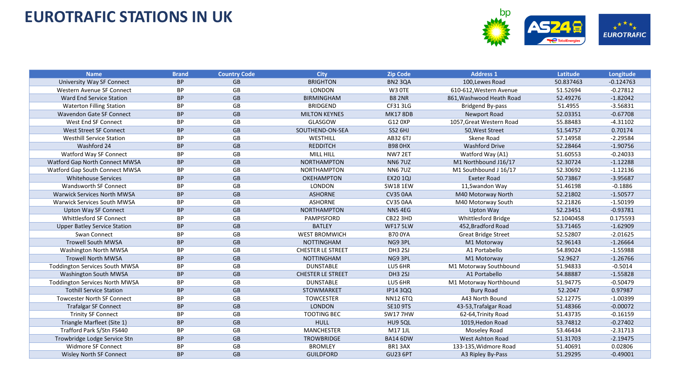

| <b>Name</b>                           | <b>Brand</b> | <b>Country Code</b> | <b>City</b>              | <b>Zip Code</b> | <b>Address 1</b>           | Latitude   | Longitude   |
|---------------------------------------|--------------|---------------------|--------------------------|-----------------|----------------------------|------------|-------------|
| University Way SF Connect             | <b>BP</b>    | <b>GB</b>           | <b>BRIGHTON</b>          | <b>BN2 3QA</b>  | 100, Lewes Road            | 50.837463  | $-0.124763$ |
| Western Avenue SF Connect             | <b>BP</b>    | GB                  | <b>LONDON</b>            | W3 OTE          | 610-612, Western Avenue    | 51.52694   | $-0.27812$  |
| Ward End Service Station              | <b>BP</b>    | <b>GB</b>           | <b>BIRMINGHAM</b>        | <b>B8 2NR</b>   | 861, Washwood Heath Road   | 52.49276   | $-1.82042$  |
| <b>Waterton Filling Station</b>       | BP           | GB                  | <b>BRIDGEND</b>          | CF31 3LG        | Bridgend By-pass           | 51.4955    | $-3.56831$  |
| <b>Wavendon Gate SF Connect</b>       | <b>BP</b>    | <b>GB</b>           | <b>MILTON KEYNES</b>     | <b>MK17 8DB</b> | Newport Road               | 52.03351   | $-0.67708$  |
| West End SF Connect                   | <b>BP</b>    | GB                  | <b>GLASGOW</b>           | G12 0XP         | 1057, Great Western Road   | 55.88483   | $-4.31102$  |
| West Street SF Connect                | <b>BP</b>    | <b>GB</b>           | SOUTHEND-ON-SEA          | <b>SS2 6HJ</b>  | 50, West Street            | 51.54757   | 0.70174     |
| <b>Westhill Service Station</b>       | BP           | GB                  | WESTHILL                 | AB32 6TJ        | Skene Road                 | 57.14958   | $-2.29584$  |
| Washford 24                           | <b>BP</b>    | GB                  | <b>REDDITCH</b>          | <b>B98 0HX</b>  | <b>Washford Drive</b>      | 52.28464   | $-1.90756$  |
| Watford Way SF Connect                | <b>BP</b>    | GB                  | <b>MILL HILL</b>         | NW7 2ET         | Watford Way (A1)           | 51.60553   | $-0.24033$  |
| Watford Gap North Connect MWSA        | <b>BP</b>    | GB                  | <b>NORTHAMPTON</b>       | <b>NN67UZ</b>   | M1 Northbound J16/17       | 52.30724   | $-1.12288$  |
| Watford Gap South Connect MWSA        | BP           | GB                  | <b>NORTHAMPTON</b>       | <b>NN67UZ</b>   | M1 Southbound J 16/17      | 52.30692   | $-1.12136$  |
| <b>Whitehouse Services</b>            | <b>BP</b>    | GB                  | <b>OKEHAMPTON</b>        | <b>EX20 1QJ</b> | <b>Exeter Road</b>         | 50.73867   | $-3.95687$  |
| <b>Wandsworth SF Connect</b>          | <b>BP</b>    | GB                  | LONDON                   | <b>SW18 1EW</b> | 11, Swandon Way            | 51.46198   | $-0.1886$   |
| <b>Warwick Services North MWSA</b>    | <b>BP</b>    | GB                  | <b>ASHORNE</b>           | <b>CV35 0AA</b> | M40 Motorway North         | 52.21802   | $-1.50577$  |
| Warwick Services South MWSA           | BP.          | GB                  | <b>ASHORNE</b>           | <b>CV35 0AA</b> | M40 Motorway South         | 52.21826   | $-1.50199$  |
| <b>Upton Way SF Connect</b>           | <b>BP</b>    | <b>GB</b>           | <b>NORTHAMPTON</b>       | <b>NN54EG</b>   | Upton Way                  | 52.23451   | $-0.93781$  |
| <b>Whittlesford SF Connect</b>        | <b>BP</b>    | GB                  | PAMPISFORD               | <b>CB22 3HD</b> | <b>Whittlesford Bridge</b> | 52.1040458 | 0.175593    |
| <b>Upper Batley Service Station</b>   | <b>BP</b>    | GB                  | <b>BATLEY</b>            | WF17 5LW        | 452, Bradford Road         | 53.71465   | $-1.62909$  |
| Swan Connect                          | <b>BP</b>    | GB                  | <b>WEST BROMWICH</b>     | <b>B70 0YA</b>  | <b>Great Bridge Street</b> | 52.52807   | $-2.01625$  |
| <b>Trowell South MWSA</b>             | <b>BP</b>    | GB                  | <b>NOTTINGHAM</b>        | NG9 3PL         | M1 Motorway                | 52.96143   | $-1.26664$  |
| Washington North MWSA                 | BP           | GB                  | <b>CHESTER LE STREET</b> | <b>DH3 2SJ</b>  | A1 Portabello              | 54.89024   | $-1.55988$  |
| <b>Trowell North MWSA</b>             | <b>BP</b>    | <b>GB</b>           | <b>NOTTINGHAM</b>        | NG9 3PL         | M1 Motorway                | 52.9627    | $-1.26766$  |
| <b>Toddington Services South MWSA</b> | <b>BP</b>    | GB                  | <b>DUNSTABLE</b>         | LU5 6HR         | M1 Motorway Southbound     | 51.94833   | $-0.5014$   |
| Washington South MWSA                 | <b>BP</b>    | GB                  | <b>CHESTER LE STREET</b> | <b>DH3 2SJ</b>  | A1 Portabello              | 54.88887   | $-1.55828$  |
| <b>Toddington Services North MWSA</b> | <b>BP</b>    | GB                  | <b>DUNSTABLE</b>         | LU5 6HR         | M1 Motorway Northbound     | 51.94775   | $-0.50479$  |
| <b>Tothill Service Station</b>        | <b>BP</b>    | <b>GB</b>           | <b>STOWMARKET</b>        | <b>IP14 3QQ</b> | <b>Bury Road</b>           | 52.2047    | 0.97987     |
| <b>Towcester North SF Connect</b>     | <b>BP</b>    | GB                  | <b>TOWCESTER</b>         | <b>NN12 6TQ</b> | A43 North Bound            | 52.12775   | $-1.00399$  |
| <b>Trafalgar SF Connect</b>           | <b>BP</b>    | <b>GB</b>           | <b>LONDON</b>            | <b>SE10 9TS</b> | 43-53, Trafalgar Road      | 51.48366   | $-0.00072$  |
| <b>Trinity SF Connect</b>             | <b>BP</b>    | GB                  | <b>TOOTING BEC</b>       | <b>SW177HW</b>  | 62-64, Trinity Road        | 51.43735   | $-0.16159$  |
| Triangle Marfleet (Site 1)            | <b>BP</b>    | GB                  | <b>HULL</b>              | HU9 5QL         | 1019, Hedon Road           | 53.74812   | $-0.27402$  |
| Trafford Park S/Stn FS440             | <b>BP</b>    | GB                  | <b>MANCHESTER</b>        | M17 1JL         | Moseley Road               | 53.46434   | $-2.31713$  |
| Trowbridge Lodge Service Stn          | <b>BP</b>    | GB                  | <b>TROWBRIDGE</b>        | <b>BA14 6DW</b> | West Ashton Road           | 51.31703   | $-2.19475$  |
| <b>Widmore SF Connect</b>             | BP           | GB                  | <b>BROMLEY</b>           | BR13AX          | 133-135, Widmore Road      | 51.40691   | 0.02806     |
| <b>Wisley North SF Connect</b>        | <b>BP</b>    | GB                  | <b>GUILDFORD</b>         | <b>GU23 6PT</b> | A3 Ripley By-Pass          | 51.29295   | $-0.49001$  |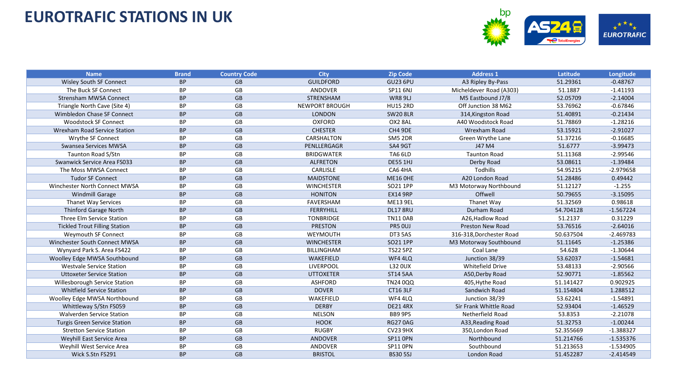

| <b>Name</b>                          | <b>Brand</b> | <b>Country Code</b> | <b>City</b>           | <b>Zip Code</b> | <b>Address 1</b>         | Latitude  | Longitude   |
|--------------------------------------|--------------|---------------------|-----------------------|-----------------|--------------------------|-----------|-------------|
| Wisley South SF Connect              | <b>BP</b>    | <b>GB</b>           | <b>GUILDFORD</b>      | <b>GU23 6PU</b> | A3 Ripley By-Pass        | 51.29361  | $-0.48767$  |
| The Buck SF Connect                  | <b>BP</b>    | GB                  | ANDOVER               | SP11 6NJ        | Micheldever Road (A303)  | 51.1887   | $-1.41193$  |
| <b>Strensham MWSA Connect</b>        | <b>BP</b>    | GB                  | <b>STRENSHAM</b>      | <b>WR89LJ</b>   | M5 Eastbound J7/8        | 52.05709  | $-2.14004$  |
| Triangle North Cave (Site 4)         | <b>BP</b>    | GB                  | <b>NEWPORT BROUGH</b> | <b>HU15 2RD</b> | Off Junction 38 M62      | 53.76962  | $-0.67846$  |
| Wimbledon Chase SF Connect           | <b>BP</b>    | <b>GB</b>           | <b>LONDON</b>         | <b>SW20 8LR</b> | 314, Kingston Road       | 51.40891  | $-0.21434$  |
| <b>Woodstock SF Connect</b>          | <b>BP</b>    | GB                  | <b>OXFORD</b>         | OX2 8AL         | A40 Woodstock Road       | 51.78869  | $-1.28216$  |
| <b>Wrexham Road Service Station</b>  | <b>BP</b>    | <b>GB</b>           | <b>CHESTER</b>        | CH4 9DE         | <b>Wrexham Road</b>      | 53.15921  | $-2.91027$  |
| Wrythe SF Connect                    | BP           | GB                  | CARSHALTON            | SM5 2DR         | Green Wrythe Lane        | 51.37216  | $-0.16685$  |
| Swansea Services MWSA                | <b>BP</b>    | <b>GB</b>           | PENLLERGAGR           | <b>SA4 9GT</b>  | J47 M4                   | 51.6777   | $-3.99473$  |
| <b>Taunton Road S/Stn</b>            | <b>BP</b>    | GB                  | <b>BRIDGWATER</b>     | TA6 6LD         | <b>Taunton Road</b>      | 51.11368  | $-2.99546$  |
| Swanwick Service Area FS033          | <b>BP</b>    | GB                  | <b>ALFRETON</b>       | <b>DE55 1HJ</b> | Derby Road               | 53.08611  | $-1.39484$  |
| The Moss MWSA Connect                | <b>BP</b>    | GB                  | <b>CARLISLE</b>       | CA64HA          | Todhills                 | 54.95215  | $-2.979658$ |
| <b>Tudor SF Connect</b>              | <b>BP</b>    | GB                  | <b>MAIDSTONE</b>      | <b>ME16 OHE</b> | A20 London Road          | 51.28486  | 0.49442     |
| Winchester North Connect MWSA        | <b>BP</b>    | GB                  | <b>WINCHESTER</b>     | SO21 1PP        | M3 Motorway Northbound   | 51.12127  | $-1.255$    |
| <b>Windmill Garage</b>               | <b>BP</b>    | GB                  | <b>HONITON</b>        | <b>EX14 9RP</b> | Offwell                  | 50.79655  | $-3.15095$  |
| <b>Thanet Way Services</b>           | <b>BP</b>    | GB                  | FAVERSHAM             | <b>ME13 9EL</b> | Thanet Way               | 51.32569  | 0.98618     |
| <b>Thinford Garage North</b>         | <b>BP</b>    | <b>GB</b>           | <b>FERRYHILL</b>      | <b>DL17 8RU</b> | Durham Road              | 54.704128 | $-1.567224$ |
| Three Elm Service Station            | <b>BP</b>    | GB                  | <b>TONBRIDGE</b>      | <b>TN11 0AB</b> | A26.Hadlow Road          | 51.2137   | 0.31229     |
| <b>Tickled Trout Filling Station</b> | <b>BP</b>    | GB                  | <b>PRESTON</b>        | PR5 OUJ         | <b>Preston New Road</b>  | 53.76516  | $-2.64016$  |
| Weymouth SF Connect                  | <b>BP</b>    | GB                  | WEYMOUTH              | DT3 5AS         | 316-318, Dorchester Road | 50.637504 | $-2.469783$ |
| Winchester South Connect MWSA        | <b>BP</b>    | GB                  | <b>WINCHESTER</b>     | SO21 1PP        | M3 Motorway Southbound   | 51.11645  | $-1.25386$  |
| Wynyard Park S. Area FS422           | <b>BP</b>    | GB                  | <b>BILLINGHAM</b>     | <b>TS22 5PZ</b> | Coal Lane                | 54.628    | $-1.30644$  |
| Woolley Edge MWSA Southbound         | <b>BP</b>    | <b>GB</b>           | WAKEFIELD             | WF4 4LQ         | Junction 38/39           | 53.62037  | $-1.54681$  |
| <b>Westvale Service Station</b>      | <b>BP</b>    | GB                  | LIVERPOOL             | L32 0UX         | <b>Whitefield Drive</b>  | 53.48133  | $-2.90566$  |
| <b>Uttoxeter Service Station</b>     | <b>BP</b>    | GB                  | <b>UTTOXETER</b>      | <b>ST14 5AA</b> | A50, Derby Road          | 52.90771  | $-1.85562$  |
| Willesborough Service Station        | <b>BP</b>    | GB                  | <b>ASHFORD</b>        | TN24 0QQ        | 405, Hythe Road          | 51.141427 | 0.902925    |
| <b>Whitfield Service Station</b>     | <b>BP</b>    | <b>GB</b>           | <b>DOVER</b>          | <b>CT163LF</b>  | Sandwich Road            | 51.154804 | 1.288512    |
| Woolley Edge MWSA Northbound         | <b>BP</b>    | GB                  | WAKEFIELD             | WF4 4LQ         | Junction 38/39           | 53.62241  | $-1.54891$  |
| Whittleway S/Stn FS059               | <b>BP</b>    | <b>GB</b>           | <b>DERBY</b>          | <b>DE21 4RX</b> | Sir Frank Whittle Road   | 52.93404  | $-1.46529$  |
| <b>Walverden Service Station</b>     | <b>BP</b>    | GB                  | <b>NELSON</b>         | BB9 9PS         | Netherfield Road         | 53.8353   | $-2.21078$  |
| <b>Turgis Green Service Station</b>  | <b>BP</b>    | GB                  | <b>HOOK</b>           | <b>RG270AG</b>  | A33, Reading Road        | 51.32753  | $-1.00244$  |
| <b>Stretton Service Station</b>      | <b>BP</b>    | GB                  | <b>RUGBY</b>          | <b>CV23 9HX</b> | 350, London Road         | 52.355669 | $-1.388327$ |
| <b>Weyhill East Service Area</b>     | <b>BP</b>    | GB                  | ANDOVER               | <b>SP11 OPN</b> | Northbound               | 51.214766 | $-1.535376$ |
| Weyhill West Service Area            | BP           | GB                  | ANDOVER               | SP11 OPN        | Southbound               | 51.213653 | $-1.534905$ |
| Wick S.Stn FS291                     | <b>BP</b>    | GB                  | <b>BRISTOL</b>        | <b>BS30 5SJ</b> | London Road              | 51.452287 | $-2.414549$ |